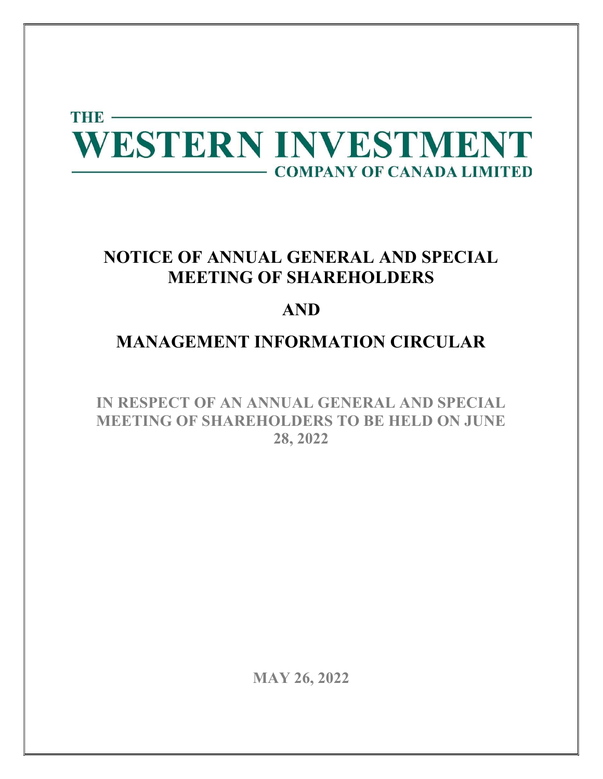

# NOTICE OF ANNUAL GENERAL AND SPECIAL MEETING OF SHAREHOLDERS

# AND

# MANAGEMENT INFORMATION CIRCULAR

IN RESPECT OF AN ANNUAL GENERAL AND SPECIAL MEETING OF SHAREHOLDERS TO BE HELD ON JUNE 28, 2022

MAY 26, 2022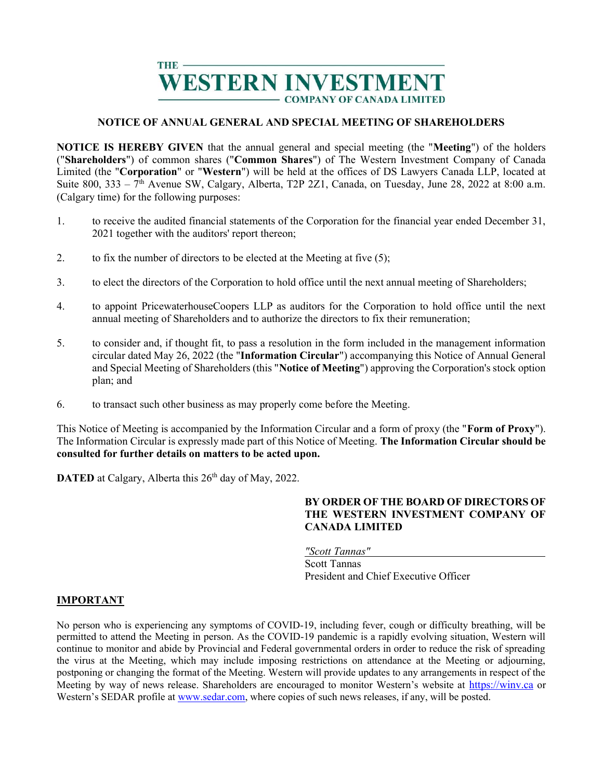

# NOTICE OF ANNUAL GENERAL AND SPECIAL MEETING OF SHAREHOLDERS

NOTICE IS HEREBY GIVEN that the annual general and special meeting (the "Meeting") of the holders ("Shareholders") of common shares ("Common Shares") of The Western Investment Company of Canada Limited (the "Corporation" or "Western") will be held at the offices of DS Lawyers Canada LLP, located at Suite 800,  $333 - 7$ <sup>th</sup> Avenue SW, Calgary, Alberta, T2P 2Z1, Canada, on Tuesday, June 28, 2022 at 8:00 a.m. (Calgary time) for the following purposes:

- 1. to receive the audited financial statements of the Corporation for the financial year ended December 31, 2021 together with the auditors' report thereon;
- 2. to fix the number of directors to be elected at the Meeting at five (5);
- 3. to elect the directors of the Corporation to hold office until the next annual meeting of Shareholders;
- 4. to appoint PricewaterhouseCoopers LLP as auditors for the Corporation to hold office until the next annual meeting of Shareholders and to authorize the directors to fix their remuneration;
- 5. to consider and, if thought fit, to pass a resolution in the form included in the management information circular dated May 26, 2022 (the "Information Circular") accompanying this Notice of Annual General and Special Meeting of Shareholders (this "Notice of Meeting") approving the Corporation's stock option plan; and
- 6. to transact such other business as may properly come before the Meeting.

This Notice of Meeting is accompanied by the Information Circular and a form of proxy (the "Form of Proxy"). The Information Circular is expressly made part of this Notice of Meeting. The Information Circular should be consulted for further details on matters to be acted upon.

DATED at Calgary, Alberta this 26<sup>th</sup> day of May, 2022.

# BY ORDER OF THE BOARD OF DIRECTORS OF THE WESTERN INVESTMENT COMPANY OF CANADA LIMITED

"Scott Tannas"

Scott Tannas President and Chief Executive Officer

### IMPORTANT

No person who is experiencing any symptoms of COVID-19, including fever, cough or difficulty breathing, will be permitted to attend the Meeting in person. As the COVID-19 pandemic is a rapidly evolving situation, Western will continue to monitor and abide by Provincial and Federal governmental orders in order to reduce the risk of spreading the virus at the Meeting, which may include imposing restrictions on attendance at the Meeting or adjourning, postponing or changing the format of the Meeting. Western will provide updates to any arrangements in respect of the Meeting by way of news release. Shareholders are encouraged to monitor Western's website at https://winv.ca or Western's SEDAR profile at www.sedar.com, where copies of such news releases, if any, will be posted.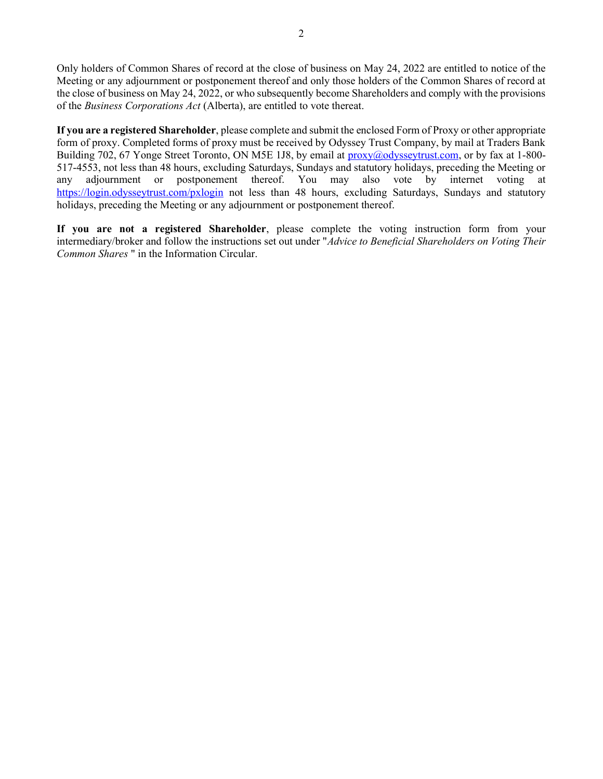Only holders of Common Shares of record at the close of business on May 24, 2022 are entitled to notice of the Meeting or any adjournment or postponement thereof and only those holders of the Common Shares of record at the close of business on May 24, 2022, or who subsequently become Shareholders and comply with the provisions of the Business Corporations Act (Alberta), are entitled to vote thereat.

If you are a registered Shareholder, please complete and submit the enclosed Form of Proxy or other appropriate form of proxy. Completed forms of proxy must be received by Odyssey Trust Company, by mail at Traders Bank Building 702, 67 Yonge Street Toronto, ON M5E 1J8, by email at proxy@odysseytrust.com, or by fax at 1-800-517-4553, not less than 48 hours, excluding Saturdays, Sundays and statutory holidays, preceding the Meeting or any adjournment or postponement thereof. You may also vote by internet voting at https://login.odysseytrust.com/pxlogin not less than 48 hours, excluding Saturdays, Sundays and statutory holidays, preceding the Meeting or any adjournment or postponement thereof.

If you are not a registered Shareholder, please complete the voting instruction form from your intermediary/broker and follow the instructions set out under "Advice to Beneficial Shareholders on Voting Their Common Shares " in the Information Circular.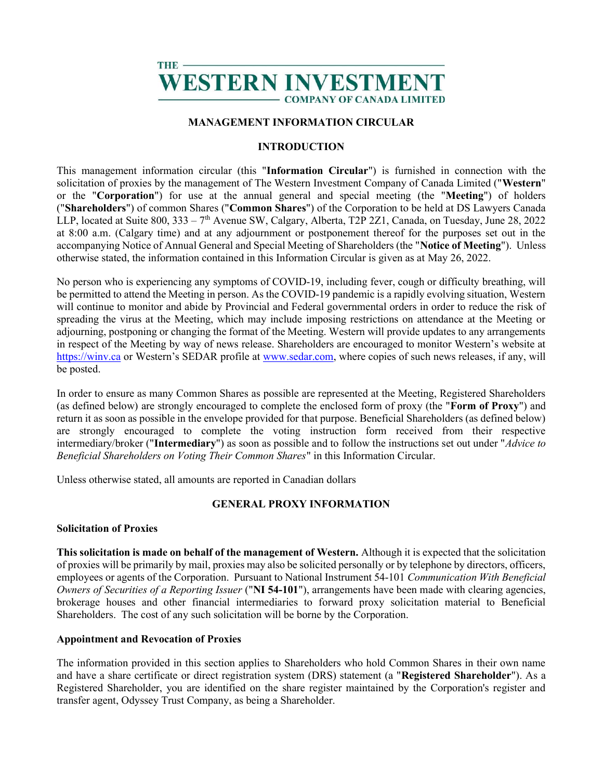# THE WESTERN INVESTME **COMPANY OF CANADA LIMITED**

# MANAGEMENT INFORMATION CIRCULAR

# INTRODUCTION

This management information circular (this "Information Circular") is furnished in connection with the solicitation of proxies by the management of The Western Investment Company of Canada Limited ("Western" or the "Corporation") for use at the annual general and special meeting (the "Meeting") of holders ("Shareholders") of common Shares ("Common Shares") of the Corporation to be held at DS Lawyers Canada LLP, located at Suite 800, 333 – 7th Avenue SW, Calgary, Alberta, T2P 2Z1, Canada, on Tuesday, June 28, 2022 at 8:00 a.m. (Calgary time) and at any adjournment or postponement thereof for the purposes set out in the accompanying Notice of Annual General and Special Meeting of Shareholders (the "Notice of Meeting"). Unless otherwise stated, the information contained in this Information Circular is given as at May 26, 2022.

No person who is experiencing any symptoms of COVID-19, including fever, cough or difficulty breathing, will be permitted to attend the Meeting in person. As the COVID-19 pandemic is a rapidly evolving situation, Western will continue to monitor and abide by Provincial and Federal governmental orders in order to reduce the risk of spreading the virus at the Meeting, which may include imposing restrictions on attendance at the Meeting or adjourning, postponing or changing the format of the Meeting. Western will provide updates to any arrangements in respect of the Meeting by way of news release. Shareholders are encouraged to monitor Western's website at https://winv.ca or Western's SEDAR profile at www.sedar.com, where copies of such news releases, if any, will be posted.

In order to ensure as many Common Shares as possible are represented at the Meeting, Registered Shareholders (as defined below) are strongly encouraged to complete the enclosed form of proxy (the "Form of Proxy") and return it as soon as possible in the envelope provided for that purpose. Beneficial Shareholders (as defined below) are strongly encouraged to complete the voting instruction form received from their respective intermediary/broker ("Intermediary") as soon as possible and to follow the instructions set out under "Advice to Beneficial Shareholders on Voting Their Common Shares" in this Information Circular.

Unless otherwise stated, all amounts are reported in Canadian dollars

# GENERAL PROXY INFORMATION

# Solicitation of Proxies

This solicitation is made on behalf of the management of Western. Although it is expected that the solicitation of proxies will be primarily by mail, proxies may also be solicited personally or by telephone by directors, officers, employees or agents of the Corporation. Pursuant to National Instrument 54-101 Communication With Beneficial Owners of Securities of a Reporting Issuer ("NI 54-101"), arrangements have been made with clearing agencies, brokerage houses and other financial intermediaries to forward proxy solicitation material to Beneficial Shareholders. The cost of any such solicitation will be borne by the Corporation.

# Appointment and Revocation of Proxies

The information provided in this section applies to Shareholders who hold Common Shares in their own name and have a share certificate or direct registration system (DRS) statement (a "Registered Shareholder"). As a Registered Shareholder, you are identified on the share register maintained by the Corporation's register and transfer agent, Odyssey Trust Company, as being a Shareholder.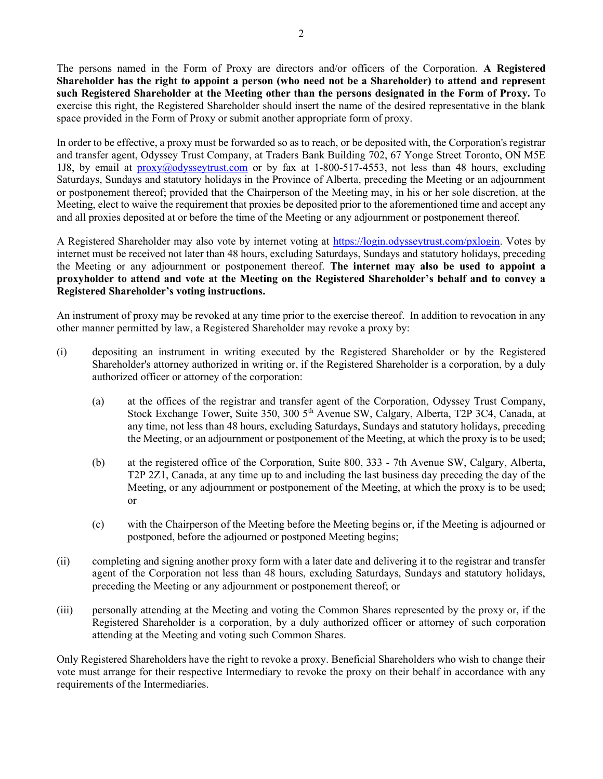The persons named in the Form of Proxy are directors and/or officers of the Corporation. A Registered Shareholder has the right to appoint a person (who need not be a Shareholder) to attend and represent such Registered Shareholder at the Meeting other than the persons designated in the Form of Proxy. To exercise this right, the Registered Shareholder should insert the name of the desired representative in the blank space provided in the Form of Proxy or submit another appropriate form of proxy.

In order to be effective, a proxy must be forwarded so as to reach, or be deposited with, the Corporation's registrar and transfer agent, Odyssey Trust Company, at Traders Bank Building 702, 67 Yonge Street Toronto, ON M5E 1J8, by email at  $prox(0.000y$ sseytrust.com or by fax at 1-800-517-4553, not less than 48 hours, excluding Saturdays, Sundays and statutory holidays in the Province of Alberta, preceding the Meeting or an adjournment or postponement thereof; provided that the Chairperson of the Meeting may, in his or her sole discretion, at the Meeting, elect to waive the requirement that proxies be deposited prior to the aforementioned time and accept any and all proxies deposited at or before the time of the Meeting or any adjournment or postponement thereof.

A Registered Shareholder may also vote by internet voting at https://login.odysseytrust.com/pxlogin. Votes by internet must be received not later than 48 hours, excluding Saturdays, Sundays and statutory holidays, preceding the Meeting or any adjournment or postponement thereof. The internet may also be used to appoint a proxyholder to attend and vote at the Meeting on the Registered Shareholder's behalf and to convey a Registered Shareholder's voting instructions.

An instrument of proxy may be revoked at any time prior to the exercise thereof. In addition to revocation in any other manner permitted by law, a Registered Shareholder may revoke a proxy by:

- (i) depositing an instrument in writing executed by the Registered Shareholder or by the Registered Shareholder's attorney authorized in writing or, if the Registered Shareholder is a corporation, by a duly authorized officer or attorney of the corporation:
	- (a) at the offices of the registrar and transfer agent of the Corporation, Odyssey Trust Company, Stock Exchange Tower, Suite 350, 300 5<sup>th</sup> Avenue SW, Calgary, Alberta, T2P 3C4, Canada, at any time, not less than 48 hours, excluding Saturdays, Sundays and statutory holidays, preceding the Meeting, or an adjournment or postponement of the Meeting, at which the proxy is to be used;
	- (b) at the registered office of the Corporation, Suite 800, 333 7th Avenue SW, Calgary, Alberta, T2P 2Z1, Canada, at any time up to and including the last business day preceding the day of the Meeting, or any adjournment or postponement of the Meeting, at which the proxy is to be used; or
	- (c) with the Chairperson of the Meeting before the Meeting begins or, if the Meeting is adjourned or postponed, before the adjourned or postponed Meeting begins;
- (ii) completing and signing another proxy form with a later date and delivering it to the registrar and transfer agent of the Corporation not less than 48 hours, excluding Saturdays, Sundays and statutory holidays, preceding the Meeting or any adjournment or postponement thereof; or
- (iii) personally attending at the Meeting and voting the Common Shares represented by the proxy or, if the Registered Shareholder is a corporation, by a duly authorized officer or attorney of such corporation attending at the Meeting and voting such Common Shares.

Only Registered Shareholders have the right to revoke a proxy. Beneficial Shareholders who wish to change their vote must arrange for their respective Intermediary to revoke the proxy on their behalf in accordance with any requirements of the Intermediaries.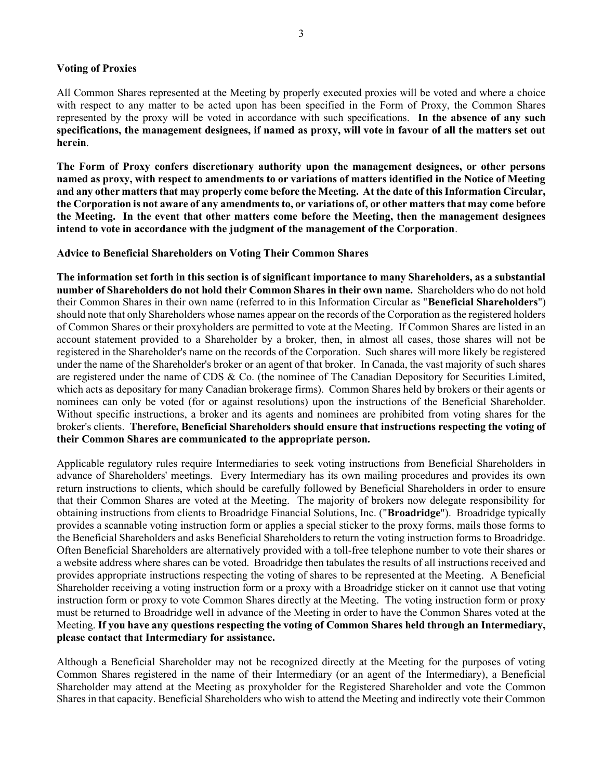### Voting of Proxies

All Common Shares represented at the Meeting by properly executed proxies will be voted and where a choice with respect to any matter to be acted upon has been specified in the Form of Proxy, the Common Shares represented by the proxy will be voted in accordance with such specifications. In the absence of any such specifications, the management designees, if named as proxy, will vote in favour of all the matters set out herein.

The Form of Proxy confers discretionary authority upon the management designees, or other persons named as proxy, with respect to amendments to or variations of matters identified in the Notice of Meeting and any other matters that may properly come before the Meeting. At the date of this Information Circular, the Corporation is not aware of any amendments to, or variations of, or other matters that may come before the Meeting. In the event that other matters come before the Meeting, then the management designees intend to vote in accordance with the judgment of the management of the Corporation.

Advice to Beneficial Shareholders on Voting Their Common Shares

The information set forth in this section is of significant importance to many Shareholders, as a substantial number of Shareholders do not hold their Common Shares in their own name. Shareholders who do not hold their Common Shares in their own name (referred to in this Information Circular as "Beneficial Shareholders") should note that only Shareholders whose names appear on the records of the Corporation as the registered holders of Common Shares or their proxyholders are permitted to vote at the Meeting. If Common Shares are listed in an account statement provided to a Shareholder by a broker, then, in almost all cases, those shares will not be registered in the Shareholder's name on the records of the Corporation. Such shares will more likely be registered under the name of the Shareholder's broker or an agent of that broker. In Canada, the vast majority of such shares are registered under the name of CDS & Co. (the nominee of The Canadian Depository for Securities Limited, which acts as depositary for many Canadian brokerage firms). Common Shares held by brokers or their agents or nominees can only be voted (for or against resolutions) upon the instructions of the Beneficial Shareholder. Without specific instructions, a broker and its agents and nominees are prohibited from voting shares for the broker's clients. Therefore, Beneficial Shareholders should ensure that instructions respecting the voting of their Common Shares are communicated to the appropriate person.

Applicable regulatory rules require Intermediaries to seek voting instructions from Beneficial Shareholders in advance of Shareholders' meetings. Every Intermediary has its own mailing procedures and provides its own return instructions to clients, which should be carefully followed by Beneficial Shareholders in order to ensure that their Common Shares are voted at the Meeting. The majority of brokers now delegate responsibility for obtaining instructions from clients to Broadridge Financial Solutions, Inc. ("Broadridge"). Broadridge typically provides a scannable voting instruction form or applies a special sticker to the proxy forms, mails those forms to the Beneficial Shareholders and asks Beneficial Shareholders to return the voting instruction forms to Broadridge. Often Beneficial Shareholders are alternatively provided with a toll-free telephone number to vote their shares or a website address where shares can be voted. Broadridge then tabulates the results of all instructions received and provides appropriate instructions respecting the voting of shares to be represented at the Meeting. A Beneficial Shareholder receiving a voting instruction form or a proxy with a Broadridge sticker on it cannot use that voting instruction form or proxy to vote Common Shares directly at the Meeting. The voting instruction form or proxy must be returned to Broadridge well in advance of the Meeting in order to have the Common Shares voted at the Meeting. If you have any questions respecting the voting of Common Shares held through an Intermediary, please contact that Intermediary for assistance.

Although a Beneficial Shareholder may not be recognized directly at the Meeting for the purposes of voting Common Shares registered in the name of their Intermediary (or an agent of the Intermediary), a Beneficial Shareholder may attend at the Meeting as proxyholder for the Registered Shareholder and vote the Common Shares in that capacity. Beneficial Shareholders who wish to attend the Meeting and indirectly vote their Common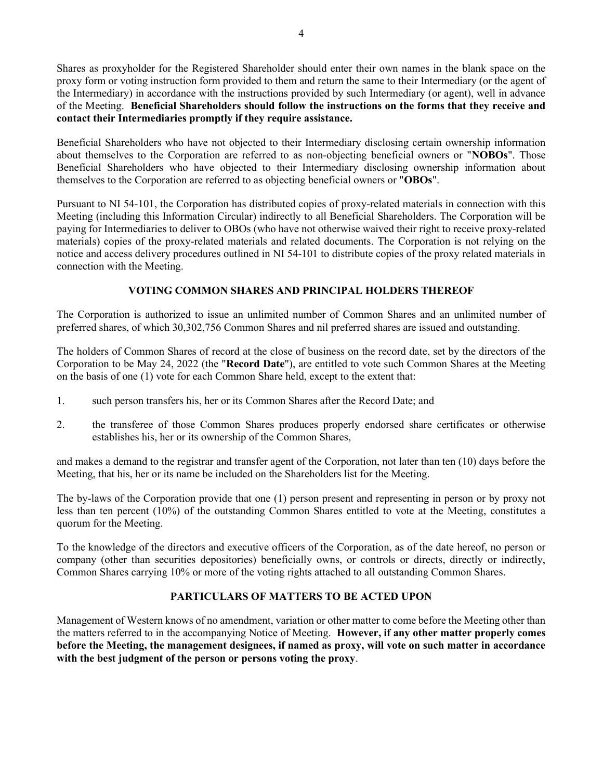Shares as proxyholder for the Registered Shareholder should enter their own names in the blank space on the proxy form or voting instruction form provided to them and return the same to their Intermediary (or the agent of the Intermediary) in accordance with the instructions provided by such Intermediary (or agent), well in advance of the Meeting. Beneficial Shareholders should follow the instructions on the forms that they receive and contact their Intermediaries promptly if they require assistance.

Beneficial Shareholders who have not objected to their Intermediary disclosing certain ownership information about themselves to the Corporation are referred to as non-objecting beneficial owners or "NOBOs". Those Beneficial Shareholders who have objected to their Intermediary disclosing ownership information about themselves to the Corporation are referred to as objecting beneficial owners or "OBOs".

Pursuant to NI 54-101, the Corporation has distributed copies of proxy-related materials in connection with this Meeting (including this Information Circular) indirectly to all Beneficial Shareholders. The Corporation will be paying for Intermediaries to deliver to OBOs (who have not otherwise waived their right to receive proxy-related materials) copies of the proxy-related materials and related documents. The Corporation is not relying on the notice and access delivery procedures outlined in NI 54-101 to distribute copies of the proxy related materials in connection with the Meeting.

# VOTING COMMON SHARES AND PRINCIPAL HOLDERS THEREOF

The Corporation is authorized to issue an unlimited number of Common Shares and an unlimited number of preferred shares, of which 30,302,756 Common Shares and nil preferred shares are issued and outstanding.

The holders of Common Shares of record at the close of business on the record date, set by the directors of the Corporation to be May 24, 2022 (the "Record Date"), are entitled to vote such Common Shares at the Meeting on the basis of one (1) vote for each Common Share held, except to the extent that:

- 1. such person transfers his, her or its Common Shares after the Record Date; and
- 2. the transferee of those Common Shares produces properly endorsed share certificates or otherwise establishes his, her or its ownership of the Common Shares,

and makes a demand to the registrar and transfer agent of the Corporation, not later than ten (10) days before the Meeting, that his, her or its name be included on the Shareholders list for the Meeting.

The by-laws of the Corporation provide that one (1) person present and representing in person or by proxy not less than ten percent (10%) of the outstanding Common Shares entitled to vote at the Meeting, constitutes a quorum for the Meeting.

To the knowledge of the directors and executive officers of the Corporation, as of the date hereof, no person or company (other than securities depositories) beneficially owns, or controls or directs, directly or indirectly, Common Shares carrying 10% or more of the voting rights attached to all outstanding Common Shares.

# PARTICULARS OF MATTERS TO BE ACTED UPON

Management of Western knows of no amendment, variation or other matter to come before the Meeting other than the matters referred to in the accompanying Notice of Meeting. However, if any other matter properly comes before the Meeting, the management designees, if named as proxy, will vote on such matter in accordance with the best judgment of the person or persons voting the proxy.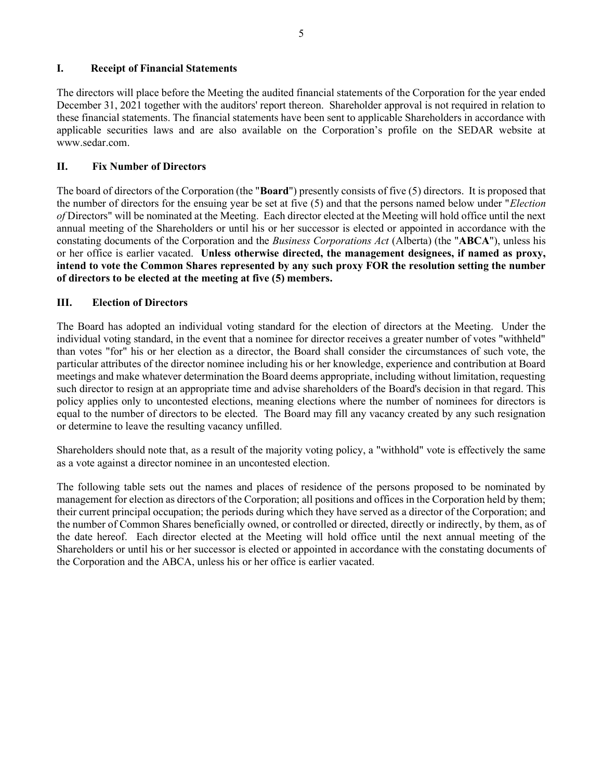# I. Receipt of Financial Statements

The directors will place before the Meeting the audited financial statements of the Corporation for the year ended December 31, 2021 together with the auditors' report thereon. Shareholder approval is not required in relation to these financial statements. The financial statements have been sent to applicable Shareholders in accordance with applicable securities laws and are also available on the Corporation's profile on the SEDAR website at www.sedar.com.

# II. Fix Number of Directors

The board of directors of the Corporation (the "Board") presently consists of five (5) directors. It is proposed that the number of directors for the ensuing year be set at five (5) and that the persons named below under "Election of Directors" will be nominated at the Meeting. Each director elected at the Meeting will hold office until the next annual meeting of the Shareholders or until his or her successor is elected or appointed in accordance with the constating documents of the Corporation and the *Business Corporations Act* (Alberta) (the "ABCA"), unless his or her office is earlier vacated. Unless otherwise directed, the management designees, if named as proxy, intend to vote the Common Shares represented by any such proxy FOR the resolution setting the number of directors to be elected at the meeting at five (5) members.

# III. Election of Directors

The Board has adopted an individual voting standard for the election of directors at the Meeting. Under the individual voting standard, in the event that a nominee for director receives a greater number of votes "withheld" than votes "for" his or her election as a director, the Board shall consider the circumstances of such vote, the particular attributes of the director nominee including his or her knowledge, experience and contribution at Board meetings and make whatever determination the Board deems appropriate, including without limitation, requesting such director to resign at an appropriate time and advise shareholders of the Board's decision in that regard. This policy applies only to uncontested elections, meaning elections where the number of nominees for directors is equal to the number of directors to be elected. The Board may fill any vacancy created by any such resignation or determine to leave the resulting vacancy unfilled.

Shareholders should note that, as a result of the majority voting policy, a "withhold" vote is effectively the same as a vote against a director nominee in an uncontested election.

The following table sets out the names and places of residence of the persons proposed to be nominated by management for election as directors of the Corporation; all positions and offices in the Corporation held by them; their current principal occupation; the periods during which they have served as a director of the Corporation; and the number of Common Shares beneficially owned, or controlled or directed, directly or indirectly, by them, as of the date hereof. Each director elected at the Meeting will hold office until the next annual meeting of the Shareholders or until his or her successor is elected or appointed in accordance with the constating documents of the Corporation and the ABCA, unless his or her office is earlier vacated.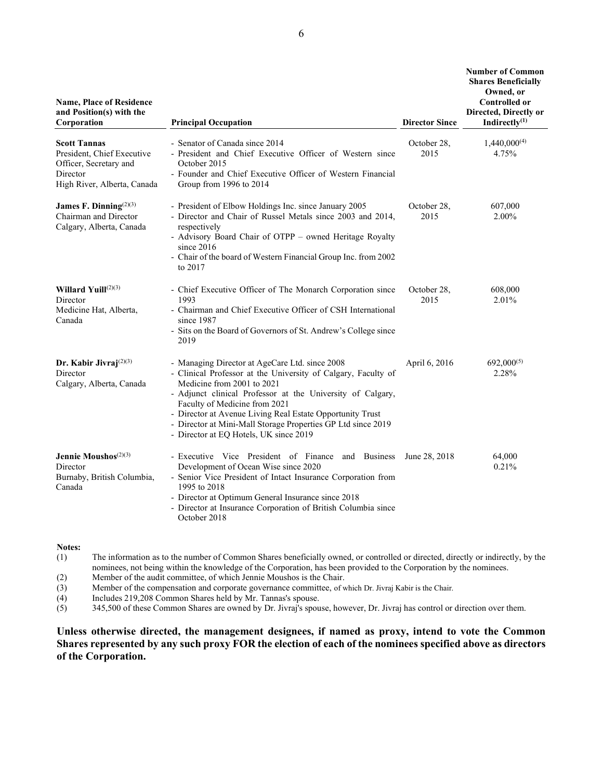| <b>Name, Place of Residence</b><br>and Position(s) with the<br>Corporation                                             | <b>Principal Occupation</b>                                                                                                                                                                                                                                                                                                                                                                                         | <b>Director Since</b> | <b>Number of Common</b><br><b>Shares Beneficially</b><br>Owned, or<br><b>Controlled or</b><br>Directed, Directly or<br>Indirectly $(1)$ |
|------------------------------------------------------------------------------------------------------------------------|---------------------------------------------------------------------------------------------------------------------------------------------------------------------------------------------------------------------------------------------------------------------------------------------------------------------------------------------------------------------------------------------------------------------|-----------------------|-----------------------------------------------------------------------------------------------------------------------------------------|
| <b>Scott Tannas</b><br>President, Chief Executive<br>Officer, Secretary and<br>Director<br>High River, Alberta, Canada | - Senator of Canada since 2014<br>- President and Chief Executive Officer of Western since<br>October 2015<br>- Founder and Chief Executive Officer of Western Financial<br>Group from 1996 to 2014                                                                                                                                                                                                                 | October 28,<br>2015   | $1,440,000^{(4)}$<br>4.75%                                                                                                              |
| James F. Dinning <sup>(2)(3)</sup><br>Chairman and Director<br>Calgary, Alberta, Canada                                | - President of Elbow Holdings Inc. since January 2005<br>- Director and Chair of Russel Metals since 2003 and 2014,<br>respectively<br>- Advisory Board Chair of OTPP - owned Heritage Royalty<br>since $2016$<br>- Chair of the board of Western Financial Group Inc. from 2002<br>to 2017                                                                                                                         | October 28,<br>2015   | 607,000<br>2.00%                                                                                                                        |
| Willard Yuill $(2)(3)$<br>Director<br>Medicine Hat, Alberta,<br>Canada                                                 | - Chief Executive Officer of The Monarch Corporation since<br>1993<br>- Chairman and Chief Executive Officer of CSH International<br>since 1987<br>- Sits on the Board of Governors of St. Andrew's College since<br>2019                                                                                                                                                                                           | October 28,<br>2015   | 608,000<br>2.01%                                                                                                                        |
| Dr. Kabir Jivraj $(2)(3)$<br>Director<br>Calgary, Alberta, Canada                                                      | - Managing Director at AgeCare Ltd. since 2008<br>- Clinical Professor at the University of Calgary, Faculty of<br>Medicine from 2001 to 2021<br>- Adjunct clinical Professor at the University of Calgary,<br>Faculty of Medicine from 2021<br>- Director at Avenue Living Real Estate Opportunity Trust<br>- Director at Mini-Mall Storage Properties GP Ltd since 2019<br>- Director at EQ Hotels, UK since 2019 | April 6, 2016         | $692,000^{(5)}$<br>2.28%                                                                                                                |
| Jennie Moushos <sup>(2)(3)</sup><br>Director<br>Burnaby, British Columbia,<br>Canada                                   | - Executive Vice President of Finance and Business<br>Development of Ocean Wise since 2020<br>- Senior Vice President of Intact Insurance Corporation from<br>1995 to 2018<br>- Director at Optimum General Insurance since 2018<br>- Director at Insurance Corporation of British Columbia since<br>October 2018                                                                                                   | June 28, 2018         | 64,000<br>0.21%                                                                                                                         |

Notes:

(1) The information as to the number of Common Shares beneficially owned, or controlled or directed, directly or indirectly, by the nominees, not being within the knowledge of the Corporation, has been provided to the Corporation by the nominees.

(2) Member of the audit committee, of which Jennie Moushos is the Chair.

(3) Member of the compensation and corporate governance committee, of which Dr. Jivraj Kabir is the Chair.

(4) Includes 219,208 Common Shares held by Mr. Tannas's spouse.<br>
(5) 345,500 of these Common Shares are owned by Dr. Jivraj's spou

(5) 345,500 of these Common Shares are owned by Dr. Jivraj's spouse, however, Dr. Jivraj has control or direction over them.

Unless otherwise directed, the management designees, if named as proxy, intend to vote the Common Shares represented by any such proxy FOR the election of each of the nominees specified above as directors of the Corporation.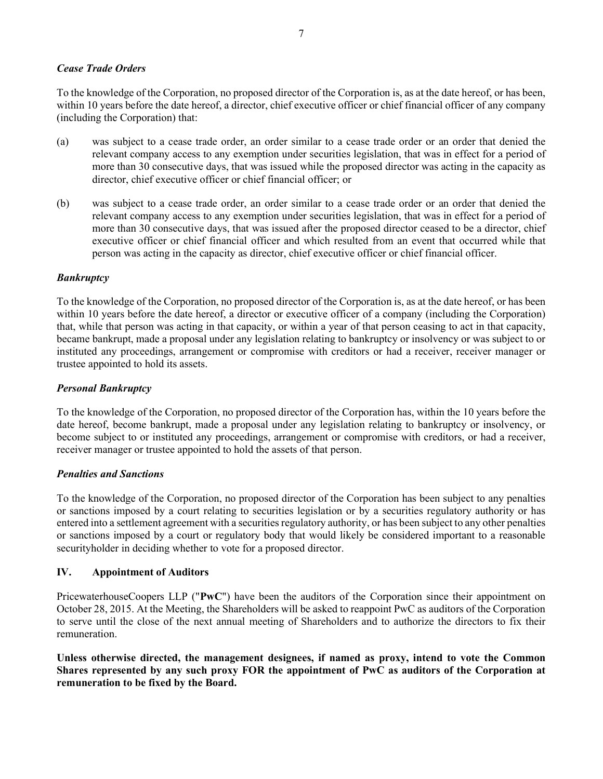### Cease Trade Orders

To the knowledge of the Corporation, no proposed director of the Corporation is, as at the date hereof, or has been, within 10 years before the date hereof, a director, chief executive officer or chief financial officer of any company (including the Corporation) that:

- (a) was subject to a cease trade order, an order similar to a cease trade order or an order that denied the relevant company access to any exemption under securities legislation, that was in effect for a period of more than 30 consecutive days, that was issued while the proposed director was acting in the capacity as director, chief executive officer or chief financial officer; or
- (b) was subject to a cease trade order, an order similar to a cease trade order or an order that denied the relevant company access to any exemption under securities legislation, that was in effect for a period of more than 30 consecutive days, that was issued after the proposed director ceased to be a director, chief executive officer or chief financial officer and which resulted from an event that occurred while that person was acting in the capacity as director, chief executive officer or chief financial officer.

# **Bankruptcy**

To the knowledge of the Corporation, no proposed director of the Corporation is, as at the date hereof, or has been within 10 years before the date hereof, a director or executive officer of a company (including the Corporation) that, while that person was acting in that capacity, or within a year of that person ceasing to act in that capacity, became bankrupt, made a proposal under any legislation relating to bankruptcy or insolvency or was subject to or instituted any proceedings, arrangement or compromise with creditors or had a receiver, receiver manager or trustee appointed to hold its assets.

# Personal Bankruptcy

To the knowledge of the Corporation, no proposed director of the Corporation has, within the 10 years before the date hereof, become bankrupt, made a proposal under any legislation relating to bankruptcy or insolvency, or become subject to or instituted any proceedings, arrangement or compromise with creditors, or had a receiver, receiver manager or trustee appointed to hold the assets of that person.

# Penalties and Sanctions

To the knowledge of the Corporation, no proposed director of the Corporation has been subject to any penalties or sanctions imposed by a court relating to securities legislation or by a securities regulatory authority or has entered into a settlement agreement with a securities regulatory authority, or has been subject to any other penalties or sanctions imposed by a court or regulatory body that would likely be considered important to a reasonable securityholder in deciding whether to vote for a proposed director.

# IV. Appointment of Auditors

PricewaterhouseCoopers LLP ("PwC") have been the auditors of the Corporation since their appointment on October 28, 2015. At the Meeting, the Shareholders will be asked to reappoint PwC as auditors of the Corporation to serve until the close of the next annual meeting of Shareholders and to authorize the directors to fix their remuneration.

Unless otherwise directed, the management designees, if named as proxy, intend to vote the Common Shares represented by any such proxy FOR the appointment of PwC as auditors of the Corporation at remuneration to be fixed by the Board.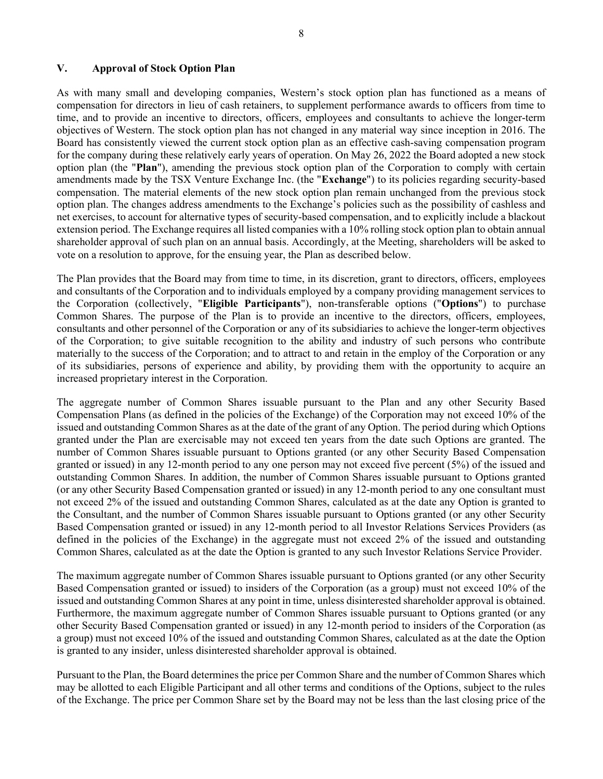# V. Approval of Stock Option Plan

As with many small and developing companies, Western's stock option plan has functioned as a means of compensation for directors in lieu of cash retainers, to supplement performance awards to officers from time to time, and to provide an incentive to directors, officers, employees and consultants to achieve the longer-term objectives of Western. The stock option plan has not changed in any material way since inception in 2016. The Board has consistently viewed the current stock option plan as an effective cash-saving compensation program for the company during these relatively early years of operation. On May 26, 2022 the Board adopted a new stock option plan (the "Plan"), amending the previous stock option plan of the Corporation to comply with certain amendments made by the TSX Venture Exchange Inc. (the "Exchange") to its policies regarding security-based compensation. The material elements of the new stock option plan remain unchanged from the previous stock option plan. The changes address amendments to the Exchange's policies such as the possibility of cashless and net exercises, to account for alternative types of security-based compensation, and to explicitly include a blackout extension period. The Exchange requires all listed companies with a 10% rolling stock option plan to obtain annual shareholder approval of such plan on an annual basis. Accordingly, at the Meeting, shareholders will be asked to vote on a resolution to approve, for the ensuing year, the Plan as described below.

The Plan provides that the Board may from time to time, in its discretion, grant to directors, officers, employees and consultants of the Corporation and to individuals employed by a company providing management services to the Corporation (collectively, "Eligible Participants"), non-transferable options ("Options") to purchase Common Shares. The purpose of the Plan is to provide an incentive to the directors, officers, employees, consultants and other personnel of the Corporation or any of its subsidiaries to achieve the longer-term objectives of the Corporation; to give suitable recognition to the ability and industry of such persons who contribute materially to the success of the Corporation; and to attract to and retain in the employ of the Corporation or any of its subsidiaries, persons of experience and ability, by providing them with the opportunity to acquire an increased proprietary interest in the Corporation.

The aggregate number of Common Shares issuable pursuant to the Plan and any other Security Based Compensation Plans (as defined in the policies of the Exchange) of the Corporation may not exceed 10% of the issued and outstanding Common Shares as at the date of the grant of any Option. The period during which Options granted under the Plan are exercisable may not exceed ten years from the date such Options are granted. The number of Common Shares issuable pursuant to Options granted (or any other Security Based Compensation granted or issued) in any 12-month period to any one person may not exceed five percent (5%) of the issued and outstanding Common Shares. In addition, the number of Common Shares issuable pursuant to Options granted (or any other Security Based Compensation granted or issued) in any 12-month period to any one consultant must not exceed 2% of the issued and outstanding Common Shares, calculated as at the date any Option is granted to the Consultant, and the number of Common Shares issuable pursuant to Options granted (or any other Security Based Compensation granted or issued) in any 12-month period to all Investor Relations Services Providers (as defined in the policies of the Exchange) in the aggregate must not exceed 2% of the issued and outstanding Common Shares, calculated as at the date the Option is granted to any such Investor Relations Service Provider.

The maximum aggregate number of Common Shares issuable pursuant to Options granted (or any other Security Based Compensation granted or issued) to insiders of the Corporation (as a group) must not exceed 10% of the issued and outstanding Common Shares at any point in time, unless disinterested shareholder approval is obtained. Furthermore, the maximum aggregate number of Common Shares issuable pursuant to Options granted (or any other Security Based Compensation granted or issued) in any 12-month period to insiders of the Corporation (as a group) must not exceed 10% of the issued and outstanding Common Shares, calculated as at the date the Option is granted to any insider, unless disinterested shareholder approval is obtained.

Pursuant to the Plan, the Board determines the price per Common Share and the number of Common Shares which may be allotted to each Eligible Participant and all other terms and conditions of the Options, subject to the rules of the Exchange. The price per Common Share set by the Board may not be less than the last closing price of the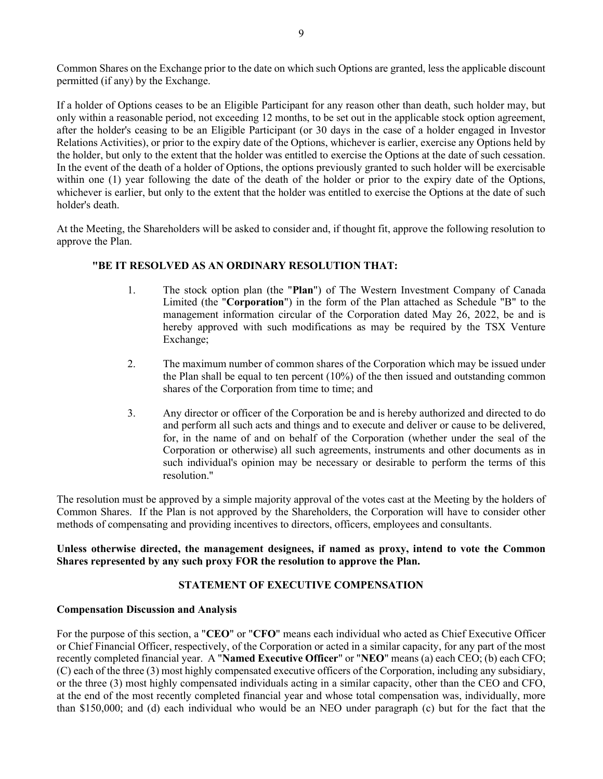Common Shares on the Exchange prior to the date on which such Options are granted, less the applicable discount permitted (if any) by the Exchange.

If a holder of Options ceases to be an Eligible Participant for any reason other than death, such holder may, but only within a reasonable period, not exceeding 12 months, to be set out in the applicable stock option agreement, after the holder's ceasing to be an Eligible Participant (or 30 days in the case of a holder engaged in Investor Relations Activities), or prior to the expiry date of the Options, whichever is earlier, exercise any Options held by the holder, but only to the extent that the holder was entitled to exercise the Options at the date of such cessation. In the event of the death of a holder of Options, the options previously granted to such holder will be exercisable within one (1) year following the date of the death of the holder or prior to the expiry date of the Options, whichever is earlier, but only to the extent that the holder was entitled to exercise the Options at the date of such holder's death.

At the Meeting, the Shareholders will be asked to consider and, if thought fit, approve the following resolution to approve the Plan.

# "BE IT RESOLVED AS AN ORDINARY RESOLUTION THAT:

- 1. The stock option plan (the "Plan") of The Western Investment Company of Canada Limited (the "Corporation") in the form of the Plan attached as Schedule "B" to the management information circular of the Corporation dated May 26, 2022, be and is hereby approved with such modifications as may be required by the TSX Venture Exchange;
- 2. The maximum number of common shares of the Corporation which may be issued under the Plan shall be equal to ten percent (10%) of the then issued and outstanding common shares of the Corporation from time to time; and
- 3. Any director or officer of the Corporation be and is hereby authorized and directed to do and perform all such acts and things and to execute and deliver or cause to be delivered, for, in the name of and on behalf of the Corporation (whether under the seal of the Corporation or otherwise) all such agreements, instruments and other documents as in such individual's opinion may be necessary or desirable to perform the terms of this resolution."

The resolution must be approved by a simple majority approval of the votes cast at the Meeting by the holders of Common Shares. If the Plan is not approved by the Shareholders, the Corporation will have to consider other methods of compensating and providing incentives to directors, officers, employees and consultants.

# Unless otherwise directed, the management designees, if named as proxy, intend to vote the Common Shares represented by any such proxy FOR the resolution to approve the Plan.

# STATEMENT OF EXECUTIVE COMPENSATION

# Compensation Discussion and Analysis

For the purpose of this section, a "CEO" or "CFO" means each individual who acted as Chief Executive Officer or Chief Financial Officer, respectively, of the Corporation or acted in a similar capacity, for any part of the most recently completed financial year. A "Named Executive Officer" or "NEO" means (a) each CEO; (b) each CFO; (C) each of the three (3) most highly compensated executive officers of the Corporation, including any subsidiary, or the three (3) most highly compensated individuals acting in a similar capacity, other than the CEO and CFO, at the end of the most recently completed financial year and whose total compensation was, individually, more than \$150,000; and (d) each individual who would be an NEO under paragraph (c) but for the fact that the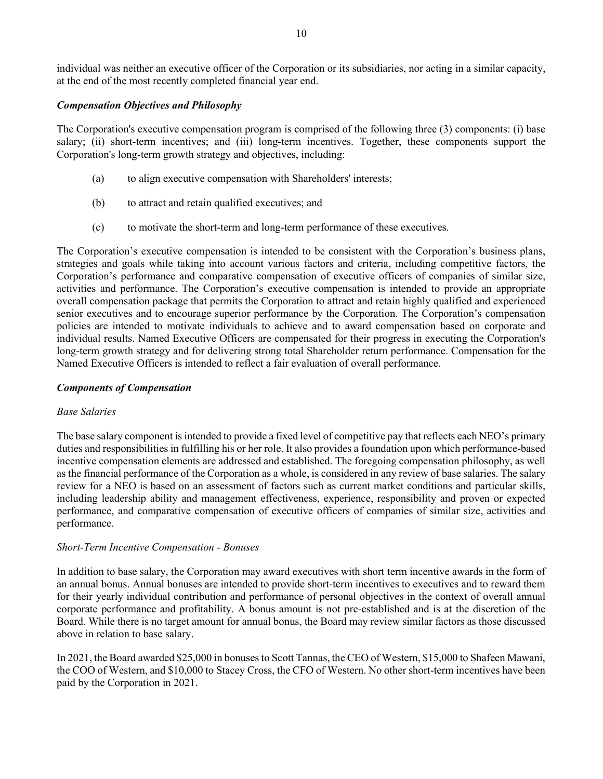individual was neither an executive officer of the Corporation or its subsidiaries, nor acting in a similar capacity, at the end of the most recently completed financial year end.

# Compensation Objectives and Philosophy

The Corporation's executive compensation program is comprised of the following three (3) components: (i) base salary; (ii) short-term incentives; and (iii) long-term incentives. Together, these components support the Corporation's long-term growth strategy and objectives, including:

- (a) to align executive compensation with Shareholders' interests;
- (b) to attract and retain qualified executives; and
- (c) to motivate the short-term and long-term performance of these executives.

The Corporation's executive compensation is intended to be consistent with the Corporation's business plans, strategies and goals while taking into account various factors and criteria, including competitive factors, the Corporation's performance and comparative compensation of executive officers of companies of similar size, activities and performance. The Corporation's executive compensation is intended to provide an appropriate overall compensation package that permits the Corporation to attract and retain highly qualified and experienced senior executives and to encourage superior performance by the Corporation. The Corporation's compensation policies are intended to motivate individuals to achieve and to award compensation based on corporate and individual results. Named Executive Officers are compensated for their progress in executing the Corporation's long-term growth strategy and for delivering strong total Shareholder return performance. Compensation for the Named Executive Officers is intended to reflect a fair evaluation of overall performance.

# Components of Compensation

# Base Salaries

The base salary component is intended to provide a fixed level of competitive pay that reflects each NEO's primary duties and responsibilities in fulfilling his or her role. It also provides a foundation upon which performance-based incentive compensation elements are addressed and established. The foregoing compensation philosophy, as well as the financial performance of the Corporation as a whole, is considered in any review of base salaries. The salary review for a NEO is based on an assessment of factors such as current market conditions and particular skills, including leadership ability and management effectiveness, experience, responsibility and proven or expected performance, and comparative compensation of executive officers of companies of similar size, activities and performance.

# Short-Term Incentive Compensation - Bonuses

In addition to base salary, the Corporation may award executives with short term incentive awards in the form of an annual bonus. Annual bonuses are intended to provide short-term incentives to executives and to reward them for their yearly individual contribution and performance of personal objectives in the context of overall annual corporate performance and profitability. A bonus amount is not pre-established and is at the discretion of the Board. While there is no target amount for annual bonus, the Board may review similar factors as those discussed above in relation to base salary.

In 2021, the Board awarded \$25,000 in bonuses to Scott Tannas, the CEO of Western, \$15,000 to Shafeen Mawani, the COO of Western, and \$10,000 to Stacey Cross, the CFO of Western. No other short-term incentives have been paid by the Corporation in 2021.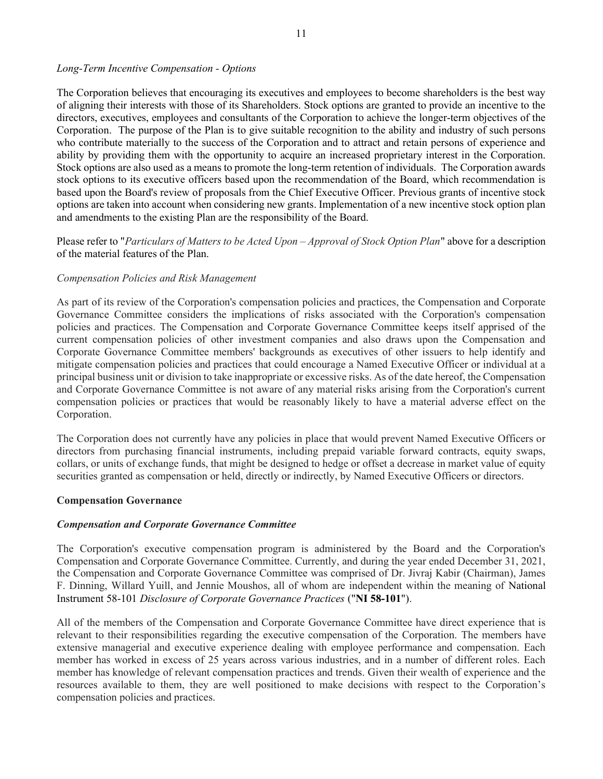### Long-Term Incentive Compensation - Options

The Corporation believes that encouraging its executives and employees to become shareholders is the best way of aligning their interests with those of its Shareholders. Stock options are granted to provide an incentive to the directors, executives, employees and consultants of the Corporation to achieve the longer-term objectives of the Corporation. The purpose of the Plan is to give suitable recognition to the ability and industry of such persons who contribute materially to the success of the Corporation and to attract and retain persons of experience and ability by providing them with the opportunity to acquire an increased proprietary interest in the Corporation. Stock options are also used as a means to promote the long-term retention of individuals. The Corporation awards stock options to its executive officers based upon the recommendation of the Board, which recommendation is based upon the Board's review of proposals from the Chief Executive Officer. Previous grants of incentive stock options are taken into account when considering new grants. Implementation of a new incentive stock option plan and amendments to the existing Plan are the responsibility of the Board.

Please refer to "Particulars of Matters to be Acted Upon – Approval of Stock Option Plan" above for a description of the material features of the Plan.

# Compensation Policies and Risk Management

As part of its review of the Corporation's compensation policies and practices, the Compensation and Corporate Governance Committee considers the implications of risks associated with the Corporation's compensation policies and practices. The Compensation and Corporate Governance Committee keeps itself apprised of the current compensation policies of other investment companies and also draws upon the Compensation and Corporate Governance Committee members' backgrounds as executives of other issuers to help identify and mitigate compensation policies and practices that could encourage a Named Executive Officer or individual at a principal business unit or division to take inappropriate or excessive risks. As of the date hereof, the Compensation and Corporate Governance Committee is not aware of any material risks arising from the Corporation's current compensation policies or practices that would be reasonably likely to have a material adverse effect on the Corporation.

The Corporation does not currently have any policies in place that would prevent Named Executive Officers or directors from purchasing financial instruments, including prepaid variable forward contracts, equity swaps, collars, or units of exchange funds, that might be designed to hedge or offset a decrease in market value of equity securities granted as compensation or held, directly or indirectly, by Named Executive Officers or directors.

### Compensation Governance

### Compensation and Corporate Governance Committee

The Corporation's executive compensation program is administered by the Board and the Corporation's Compensation and Corporate Governance Committee. Currently, and during the year ended December 31, 2021, the Compensation and Corporate Governance Committee was comprised of Dr. Jivraj Kabir (Chairman), James F. Dinning, Willard Yuill, and Jennie Moushos, all of whom are independent within the meaning of National Instrument 58-101 Disclosure of Corporate Governance Practices ("NI 58-101").

All of the members of the Compensation and Corporate Governance Committee have direct experience that is relevant to their responsibilities regarding the executive compensation of the Corporation. The members have extensive managerial and executive experience dealing with employee performance and compensation. Each member has worked in excess of 25 years across various industries, and in a number of different roles. Each member has knowledge of relevant compensation practices and trends. Given their wealth of experience and the resources available to them, they are well positioned to make decisions with respect to the Corporation's compensation policies and practices.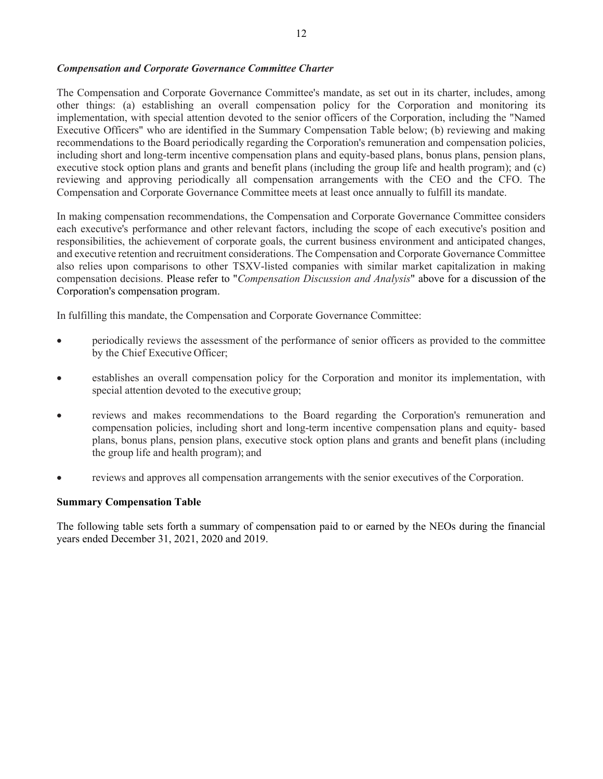### Compensation and Corporate Governance Committee Charter

The Compensation and Corporate Governance Committee's mandate, as set out in its charter, includes, among other things: (a) establishing an overall compensation policy for the Corporation and monitoring its implementation, with special attention devoted to the senior officers of the Corporation, including the "Named Executive Officers" who are identified in the Summary Compensation Table below; (b) reviewing and making recommendations to the Board periodically regarding the Corporation's remuneration and compensation policies, including short and long-term incentive compensation plans and equity-based plans, bonus plans, pension plans, executive stock option plans and grants and benefit plans (including the group life and health program); and (c) reviewing and approving periodically all compensation arrangements with the CEO and the CFO. The Compensation and Corporate Governance Committee meets at least once annually to fulfill its mandate.

In making compensation recommendations, the Compensation and Corporate Governance Committee considers each executive's performance and other relevant factors, including the scope of each executive's position and responsibilities, the achievement of corporate goals, the current business environment and anticipated changes, and executive retention and recruitment considerations. The Compensation and Corporate Governance Committee also relies upon comparisons to other TSXV-listed companies with similar market capitalization in making compensation decisions. Please refer to "Compensation Discussion and Analysis" above for a discussion of the Corporation's compensation program.

In fulfilling this mandate, the Compensation and Corporate Governance Committee:

- periodically reviews the assessment of the performance of senior officers as provided to the committee by the Chief Executive Officer;
- establishes an overall compensation policy for the Corporation and monitor its implementation, with special attention devoted to the executive group;
- reviews and makes recommendations to the Board regarding the Corporation's remuneration and compensation policies, including short and long-term incentive compensation plans and equity- based plans, bonus plans, pension plans, executive stock option plans and grants and benefit plans (including the group life and health program); and
- reviews and approves all compensation arrangements with the senior executives of the Corporation.

### Summary Compensation Table

The following table sets forth a summary of compensation paid to or earned by the NEOs during the financial years ended December 31, 2021, 2020 and 2019.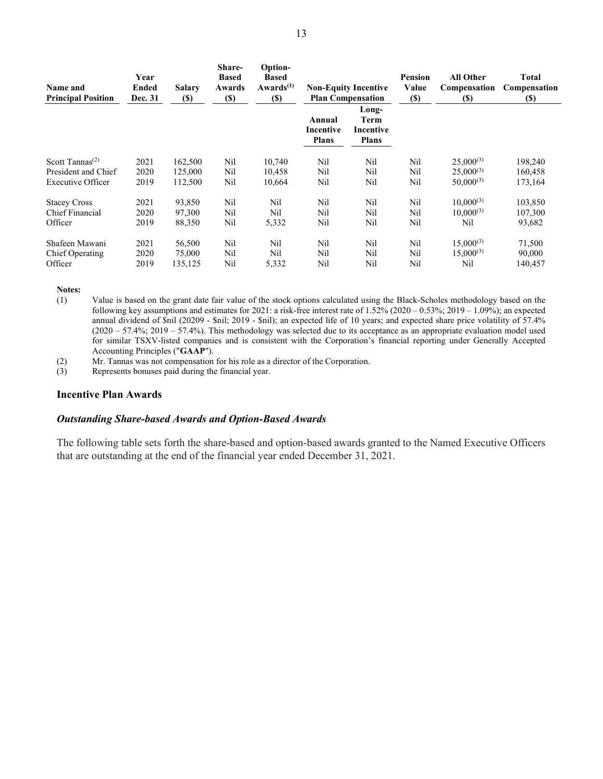| Name and<br><b>Principal Position</b>    | Year<br>Ended<br>Dec. 31 | <b>Salary</b><br><b>(\$)</b> | Share-<br><b>Based</b><br>Awards<br><b>(\$)</b> | Option-<br><b>Based</b><br>Awards $(1)$<br>$\left( \mathbb{S}\right)$ |                                     | <b>Non-Equity Incentive</b><br><b>Plan Compensation</b> | Pension<br>Value<br>$(\$)$ | <b>All Other</b><br>Compensation<br>(S) | <b>Total</b><br>Compensation<br><b>(S)</b> |
|------------------------------------------|--------------------------|------------------------------|-------------------------------------------------|-----------------------------------------------------------------------|-------------------------------------|---------------------------------------------------------|----------------------------|-----------------------------------------|--------------------------------------------|
|                                          |                          |                              |                                                 |                                                                       | Annual<br>Incentive<br><b>Plans</b> | Long-<br>Term<br>Incentive<br><b>Plans</b>              |                            |                                         |                                            |
| Scott Tannas <sup><math>(2)</math></sup> | 2021                     | 162,500                      | Nil                                             | 10,740                                                                | Nil                                 | Nil                                                     | Nil                        | $25,000^{(3)}$                          | 198,240                                    |
| President and Chief                      | 2020                     | 125,000                      | Nil                                             | 10,458                                                                | Nil                                 | Nil                                                     | Nil                        | $25,000^{(3)}$                          | 160,458                                    |
| Executive Officer                        | 2019                     | 112,500                      | Nil                                             | 10,664                                                                | Nil                                 | Nil                                                     | Nil                        | $50,000^{(3)}$                          | 173,164                                    |
| <b>Stacey Cross</b>                      | 2021                     | 93,850                       | Nil                                             | Nil                                                                   | Nil                                 | Nil                                                     | Nil                        | $10,000^{(3)}$                          | 103,850                                    |
| Chief Financial                          | 2020                     | 97,300                       | Nil                                             | Nil                                                                   | Nil                                 | Nil                                                     | Nil                        | $10,000^{(3)}$                          | 107,300                                    |
| Officer                                  | 2019                     | 88,350                       | Nil                                             | 5,332                                                                 | Nil                                 | Nil                                                     | Nil                        | Nil                                     | 93,682                                     |
| Shafeen Mawani                           | 2021                     | 56,500                       | Nil                                             | Nil                                                                   | Nil                                 | Nil                                                     | Nil                        | $15,000^{(3)}$                          | 71,500                                     |
| Chief Operating                          | 2020                     | 75,000                       | Nil                                             | Nil                                                                   | Nil                                 | Nil                                                     | Nil                        | $15,000^{(3)}$                          | 90,000                                     |
| Officer                                  | 2019                     | 135,125                      | Nil                                             | 5,332                                                                 | Nil                                 | Nil                                                     | Nil                        | Nil                                     | 140,457                                    |

Notes:

- (1) Value is based on the grant date fair value of the stock options calculated using the Black-Scholes methodology based on the following key assumptions and estimates for 2021: a risk-free interest rate of 1.52% (2020 – 0.53%; 2019 – 1.09%); an expected annual dividend of \$nil (20209 - \$nil; 2019 - \$nil); an expected life of 10 years; and expected share price volatility of 57.4% (2020 – 57.4%; 2019 – 57.4%). This methodology was selected due to its acceptance as an appropriate evaluation model used for similar TSXV-listed companies and is consistent with the Corporation's financial reporting under Generally Accepted Accounting Principles ("GAAP").
- (2) Mr. Tannas was not compensation for his role as a director of the Corporation.<br>
(3) Represents bonuses paid during the financial year.
- Represents bonuses paid during the financial year.

#### Incentive Plan Awards

### Outstanding Share-based Awards and Option-Based Awards

The following table sets forth the share-based and option-based awards granted to the Named Executive Officers that are outstanding at the end of the financial year ended December 31, 2021.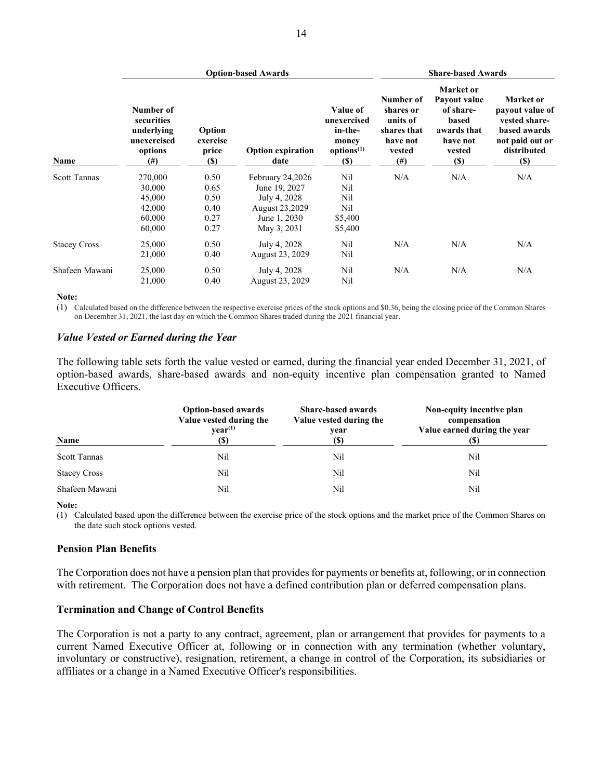|                     |                                                                             | <b>Option-based Awards</b>                 | <b>Share-based Awards</b>        |                                                                                      |                                                                                     |                                                                                                     |                                                                                                           |
|---------------------|-----------------------------------------------------------------------------|--------------------------------------------|----------------------------------|--------------------------------------------------------------------------------------|-------------------------------------------------------------------------------------|-----------------------------------------------------------------------------------------------------|-----------------------------------------------------------------------------------------------------------|
| Name                | Number of<br>securities<br>underlying<br>unexercised<br>options<br>$^{(#)}$ | Option<br>exercise<br>price<br><b>(\$)</b> | <b>Option expiration</b><br>date | Value of<br>unexercised<br>in-the-<br>money<br>options <sup>(1)</sup><br><b>(\$)</b> | Number of<br>shares or<br>units of<br>shares that<br>have not<br>vested<br>$^{(#)}$ | Market or<br>Payout value<br>of share-<br>based<br>awards that<br>have not<br>vested<br><b>(\$)</b> | Market or<br>payout value of<br>vested share-<br>based awards<br>not paid out or<br>distributed<br>$(\$)$ |
| <b>Scott Tannas</b> | 270,000                                                                     | 0.50                                       | February 24,2026                 | Nil                                                                                  | N/A                                                                                 | N/A                                                                                                 | N/A                                                                                                       |
|                     | 30,000                                                                      | 0.65                                       | June 19, 2027                    | Nil                                                                                  |                                                                                     |                                                                                                     |                                                                                                           |
|                     | 45,000                                                                      | 0.50                                       | July 4, 2028                     | Nil                                                                                  |                                                                                     |                                                                                                     |                                                                                                           |
|                     | 42,000                                                                      | 0.40                                       | August 23,2029                   | Nil                                                                                  |                                                                                     |                                                                                                     |                                                                                                           |
|                     | 60,000                                                                      | 0.27                                       | June 1, 2030                     | \$5,400                                                                              |                                                                                     |                                                                                                     |                                                                                                           |
|                     | 60,000                                                                      | 0.27                                       | May 3, 2031                      | \$5,400                                                                              |                                                                                     |                                                                                                     |                                                                                                           |
| <b>Stacey Cross</b> | 25,000                                                                      | 0.50                                       | July 4, 2028                     | Nil                                                                                  | N/A                                                                                 | N/A                                                                                                 | N/A                                                                                                       |
|                     | 21,000                                                                      | 0.40                                       | August 23, 2029                  | Nil                                                                                  |                                                                                     |                                                                                                     |                                                                                                           |
| Shafeen Mawani      | 25,000                                                                      | 0.50                                       | July 4, 2028                     | Nil                                                                                  | N/A                                                                                 | N/A                                                                                                 | N/A                                                                                                       |
|                     | 21,000                                                                      | 0.40                                       | August 23, 2029                  | Nil                                                                                  |                                                                                     |                                                                                                     |                                                                                                           |

Note:

(1) Calculated based on the difference between the respective exercise prices of the stock options and \$0.36, being the closing price of the Common Shares on December 31, 2021, the last day on which the Common Shares traded during the 2021 financial year.

### Value Vested or Earned during the Year

The following table sets forth the value vested or earned, during the financial year ended December 31, 2021, of option-based awards, share-based awards and non-equity incentive plan compensation granted to Named Executive Officers.

| Name                | <b>Option-based awards</b><br>Value vested during the<br>$\mathbf{vear}^{(1)}$<br>(S) | <b>Share-based awards</b><br>Value vested during the<br>year<br>(S) | Non-equity incentive plan<br>compensation<br>Value earned during the year<br>(S) |
|---------------------|---------------------------------------------------------------------------------------|---------------------------------------------------------------------|----------------------------------------------------------------------------------|
| <b>Scott Tannas</b> | Nil                                                                                   | Nil                                                                 | Nil                                                                              |
| <b>Stacey Cross</b> | Nil                                                                                   | Nil                                                                 | Nil                                                                              |
| Shafeen Mawani      | Nil                                                                                   | Nil                                                                 | Nil                                                                              |

#### Note:

(1) Calculated based upon the difference between the exercise price of the stock options and the market price of the Common Shares on the date such stock options vested.

### Pension Plan Benefits

The Corporation does not have a pension plan that provides for payments or benefits at, following, or in connection with retirement. The Corporation does not have a defined contribution plan or deferred compensation plans.

### Termination and Change of Control Benefits

The Corporation is not a party to any contract, agreement, plan or arrangement that provides for payments to a current Named Executive Officer at, following or in connection with any termination (whether voluntary, involuntary or constructive), resignation, retirement, a change in control of the Corporation, its subsidiaries or affiliates or a change in a Named Executive Officer's responsibilities.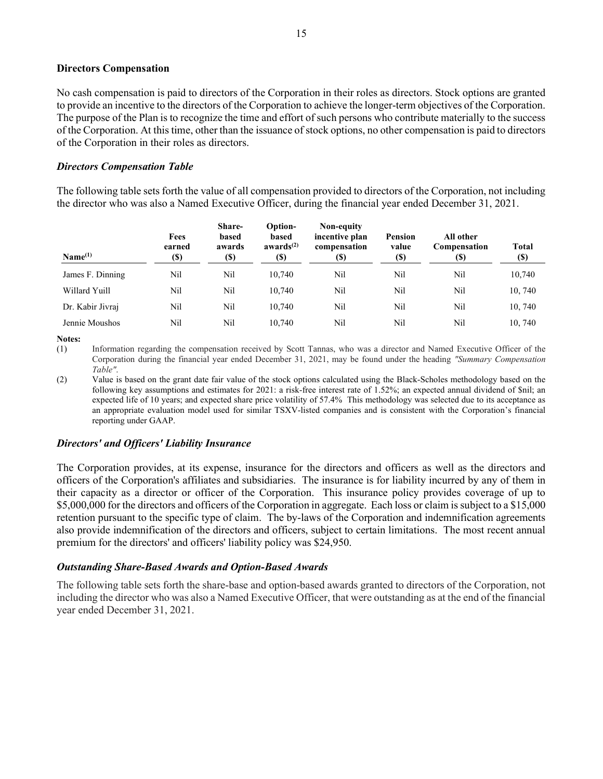#### Directors Compensation

No cash compensation is paid to directors of the Corporation in their roles as directors. Stock options are granted to provide an incentive to the directors of the Corporation to achieve the longer-term objectives of the Corporation. The purpose of the Plan is to recognize the time and effort of such persons who contribute materially to the success of the Corporation. At this time, other than the issuance of stock options, no other compensation is paid to directors of the Corporation in their roles as directors.

#### Directors Compensation Table

The following table sets forth the value of all compensation provided to directors of the Corporation, not including the director who was also a Named Executive Officer, during the financial year ended December 31, 2021.

| Name <sup>(1)</sup> | Fees<br>earned<br>(\$) | Share-<br>based<br>awards<br>(\$) | <b>Option-</b><br>based<br>awards $(2)$<br>(S) | Non-equity<br>incentive plan<br>compensation<br>(\$) | Pension<br>value<br>$\left( \mathbb{S}\right)$ | All other<br>Compensation<br>(\$) | <b>Total</b><br><b>(\$)</b> |
|---------------------|------------------------|-----------------------------------|------------------------------------------------|------------------------------------------------------|------------------------------------------------|-----------------------------------|-----------------------------|
| James F. Dinning    | Nil                    | Nil                               | 10.740                                         | Nil                                                  | Nil                                            | Nil                               | 10,740                      |
| Willard Yuill       | Nil                    | Nil                               | 10.740                                         | Nil                                                  | Nil                                            | Nil                               | 10,740                      |
| Dr. Kabir Jivraj    | Nil                    | Nil                               | 10.740                                         | Nil                                                  | Nil                                            | Nil                               | 10,740                      |
| Jennie Moushos      | Nil                    | Nil                               | 10.740                                         | Nil                                                  | Nil                                            | Nil                               | 10,740                      |

Notes:

(1) Information regarding the compensation received by Scott Tannas, who was a director and Named Executive Officer of the Corporation during the financial year ended December 31, 2021, may be found under the heading "Summary Compensation Table".

(2) Value is based on the grant date fair value of the stock options calculated using the Black-Scholes methodology based on the following key assumptions and estimates for 2021: a risk-free interest rate of 1.52%; an expected annual dividend of \$nil; an expected life of 10 years; and expected share price volatility of 57.4% This methodology was selected due to its acceptance as an appropriate evaluation model used for similar TSXV-listed companies and is consistent with the Corporation's financial reporting under GAAP.

### Directors' and Officers' Liability Insurance

The Corporation provides, at its expense, insurance for the directors and officers as well as the directors and officers of the Corporation's affiliates and subsidiaries. The insurance is for liability incurred by any of them in their capacity as a director or officer of the Corporation. This insurance policy provides coverage of up to \$5,000,000 for the directors and officers of the Corporation in aggregate. Each loss or claim is subject to a \$15,000 retention pursuant to the specific type of claim. The by-laws of the Corporation and indemnification agreements also provide indemnification of the directors and officers, subject to certain limitations. The most recent annual premium for the directors' and officers' liability policy was \$24,950.

### Outstanding Share-Based Awards and Option-Based Awards

The following table sets forth the share-base and option-based awards granted to directors of the Corporation, not including the director who was also a Named Executive Officer, that were outstanding as at the end of the financial year ended December 31, 2021.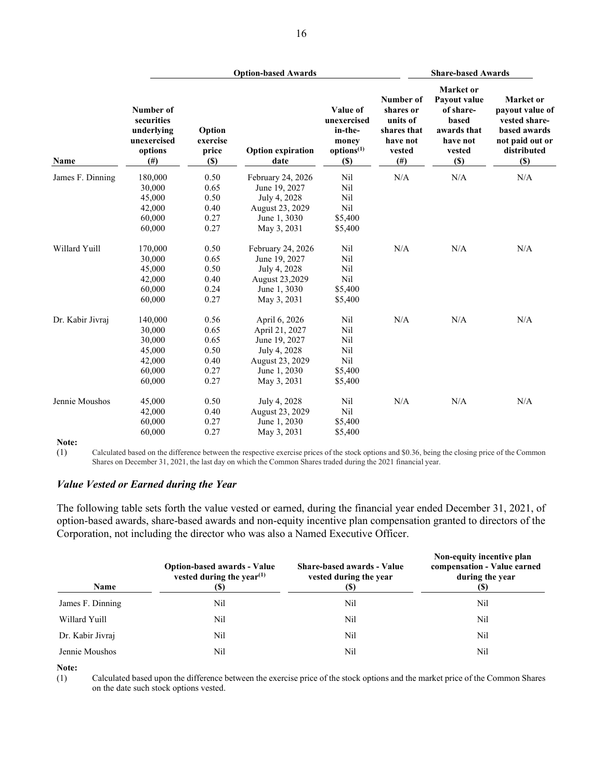|                  |                                                                                      | <b>Option-based Awards</b>         |                                  |                                                                              |                                                                                      | <b>Share-based Awards</b>                                                                          |                                                                                                               |  |
|------------------|--------------------------------------------------------------------------------------|------------------------------------|----------------------------------|------------------------------------------------------------------------------|--------------------------------------------------------------------------------------|----------------------------------------------------------------------------------------------------|---------------------------------------------------------------------------------------------------------------|--|
| <b>Name</b>      | Number of<br>securities<br>underlying<br>unexercised<br>options<br>(# <sup>2</sup> ) | Option<br>exercise<br>price<br>(S) | <b>Option expiration</b><br>date | Value of<br>unexercised<br>in-the-<br>money<br>options <sup>(1)</sup><br>(S) | Number of<br>shares or<br>units of<br>shares that<br>have not<br>vested<br>$($ # $)$ | <b>Market</b> or<br>Payout value<br>of share-<br>based<br>awards that<br>have not<br>vested<br>(S) | <b>Market</b> or<br>payout value of<br>vested share-<br>based awards<br>not paid out or<br>distributed<br>(S) |  |
| James F. Dinning | 180,000                                                                              | 0.50                               | February 24, 2026                | Nil                                                                          | N/A                                                                                  | N/A                                                                                                | N/A                                                                                                           |  |
|                  | 30,000                                                                               | 0.65                               | June 19, 2027                    | Nil                                                                          |                                                                                      |                                                                                                    |                                                                                                               |  |
|                  | 45,000                                                                               | 0.50                               | July 4, 2028                     | Nil                                                                          |                                                                                      |                                                                                                    |                                                                                                               |  |
|                  | 42,000                                                                               | 0.40                               | August 23, 2029                  | Nil                                                                          |                                                                                      |                                                                                                    |                                                                                                               |  |
|                  | 60,000                                                                               | 0.27                               | June 1, 3030                     | \$5,400                                                                      |                                                                                      |                                                                                                    |                                                                                                               |  |
|                  | 60,000                                                                               | 0.27                               | May 3, 2031                      | \$5,400                                                                      |                                                                                      |                                                                                                    |                                                                                                               |  |
| Willard Yuill    | 170,000                                                                              | 0.50                               | February 24, 2026                | Nil                                                                          | N/A                                                                                  | N/A                                                                                                | N/A                                                                                                           |  |
|                  | 30,000                                                                               | 0.65                               | June 19, 2027                    | Nil                                                                          |                                                                                      |                                                                                                    |                                                                                                               |  |
|                  | 45,000                                                                               | 0.50                               | July 4, 2028                     | Nil                                                                          |                                                                                      |                                                                                                    |                                                                                                               |  |
|                  | 42,000                                                                               | 0.40                               | August 23,2029                   | Nil                                                                          |                                                                                      |                                                                                                    |                                                                                                               |  |
|                  | 60,000                                                                               | 0.24                               | June 1, 3030                     | \$5,400                                                                      |                                                                                      |                                                                                                    |                                                                                                               |  |
|                  | 60,000                                                                               | 0.27                               | May 3, 2031                      | \$5,400                                                                      |                                                                                      |                                                                                                    |                                                                                                               |  |
| Dr. Kabir Jivraj | 140,000                                                                              | 0.56                               | April 6, 2026                    | Nil                                                                          | N/A                                                                                  | N/A                                                                                                | N/A                                                                                                           |  |
|                  | 30,000                                                                               | 0.65                               | April 21, 2027                   | Nil                                                                          |                                                                                      |                                                                                                    |                                                                                                               |  |
|                  | 30,000                                                                               | 0.65                               | June 19, 2027                    | Nil                                                                          |                                                                                      |                                                                                                    |                                                                                                               |  |
|                  | 45,000                                                                               | 0.50                               | July 4, 2028                     | Nil                                                                          |                                                                                      |                                                                                                    |                                                                                                               |  |
|                  | 42,000                                                                               | 0.40                               | August 23, 2029                  | Nil                                                                          |                                                                                      |                                                                                                    |                                                                                                               |  |
|                  | 60,000                                                                               | 0.27                               | June 1, 2030                     | \$5,400                                                                      |                                                                                      |                                                                                                    |                                                                                                               |  |
|                  | 60,000                                                                               | 0.27                               | May 3, 2031                      | \$5,400                                                                      |                                                                                      |                                                                                                    |                                                                                                               |  |
| Jennie Moushos   | 45,000                                                                               | 0.50                               | July 4, 2028                     | Nil                                                                          | N/A                                                                                  | N/A                                                                                                | N/A                                                                                                           |  |
|                  | 42,000                                                                               | 0.40                               | August 23, 2029                  | Nil                                                                          |                                                                                      |                                                                                                    |                                                                                                               |  |
|                  | 60,000                                                                               | 0.27                               | June 1, 2030                     | \$5,400                                                                      |                                                                                      |                                                                                                    |                                                                                                               |  |
|                  | 60,000                                                                               | 0.27                               | May 3, 2031                      | \$5,400                                                                      |                                                                                      |                                                                                                    |                                                                                                               |  |
| Note:            |                                                                                      |                                    |                                  |                                                                              |                                                                                      |                                                                                                    |                                                                                                               |  |

Note:

(1) Calculated based on the difference between the respective exercise prices of the stock options and \$0.36, being the closing price of the Common Shares on December 31, 2021, the last day on which the Common Shares traded during the 2021 financial year.

### Value Vested or Earned during the Year

The following table sets forth the value vested or earned, during the financial year ended December 31, 2021, of option-based awards, share-based awards and non-equity incentive plan compensation granted to directors of the Corporation, not including the director who was also a Named Executive Officer.

| Name             | <b>Option-based awards - Value</b><br>vested during the year <sup><math>(1)</math></sup><br>(S) | <b>Share-based awards - Value</b><br>vested during the year<br>(S) | Non-equity incentive plan<br>compensation - Value earned<br>during the year<br>(S) |
|------------------|-------------------------------------------------------------------------------------------------|--------------------------------------------------------------------|------------------------------------------------------------------------------------|
| James F. Dinning | Nil                                                                                             | Nil                                                                | Nil                                                                                |
| Willard Yuill    | Nil                                                                                             | Nil                                                                | Nil                                                                                |
| Dr. Kabir Jivraj | Nil                                                                                             | Nil                                                                | Nil                                                                                |
| Jennie Moushos   | Nil                                                                                             | Nil                                                                | Nil                                                                                |

Note:

(1) Calculated based upon the difference between the exercise price of the stock options and the market price of the Common Shares on the date such stock options vested.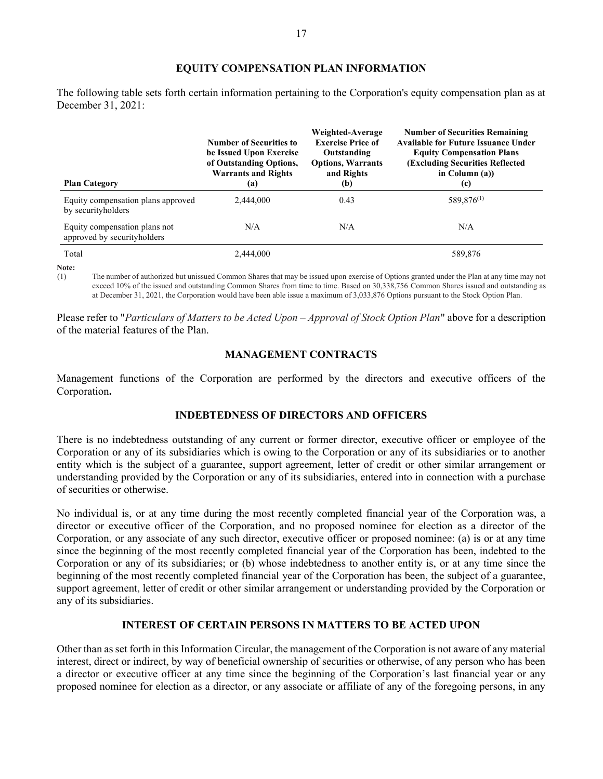### EQUITY COMPENSATION PLAN INFORMATION

The following table sets forth certain information pertaining to the Corporation's equity compensation plan as at December 31, 2021:

| <b>Plan Category</b>                                         | <b>Number of Securities to</b><br>be Issued Upon Exercise<br>of Outstanding Options,<br><b>Warrants and Rights</b><br>(a) | Weighted-Average<br><b>Exercise Price of</b><br>Outstanding<br><b>Options, Warrants</b><br>and Rights<br>(b) | <b>Number of Securities Remaining</b><br><b>Available for Future Issuance Under</b><br><b>Equity Compensation Plans</b><br><b>(Excluding Securities Reflected)</b><br>in Column $(a)$ )<br>(c) |
|--------------------------------------------------------------|---------------------------------------------------------------------------------------------------------------------------|--------------------------------------------------------------------------------------------------------------|------------------------------------------------------------------------------------------------------------------------------------------------------------------------------------------------|
| Equity compensation plans approved<br>by security holders    | 2,444,000                                                                                                                 | 0.43                                                                                                         | 589,876 <sup>(1)</sup>                                                                                                                                                                         |
| Equity compensation plans not<br>approved by securityholders | N/A                                                                                                                       | N/A                                                                                                          | N/A                                                                                                                                                                                            |
| Total                                                        | 2.444,000                                                                                                                 |                                                                                                              | 589,876                                                                                                                                                                                        |

Note:

(1) The number of authorized but unissued Common Shares that may be issued upon exercise of Options granted under the Plan at any time may not exceed 10% of the issued and outstanding Common Shares from time to time. Based on 30,338,756 Common Shares issued and outstanding as at December 31, 2021, the Corporation would have been able issue a maximum of 3,033,876 Options pursuant to the Stock Option Plan.

Please refer to "Particulars of Matters to be Acted Upon – Approval of Stock Option Plan" above for a description of the material features of the Plan.

# MANAGEMENT CONTRACTS

Management functions of the Corporation are performed by the directors and executive officers of the Corporation.

# INDEBTEDNESS OF DIRECTORS AND OFFICERS

There is no indebtedness outstanding of any current or former director, executive officer or employee of the Corporation or any of its subsidiaries which is owing to the Corporation or any of its subsidiaries or to another entity which is the subject of a guarantee, support agreement, letter of credit or other similar arrangement or understanding provided by the Corporation or any of its subsidiaries, entered into in connection with a purchase of securities or otherwise.

No individual is, or at any time during the most recently completed financial year of the Corporation was, a director or executive officer of the Corporation, and no proposed nominee for election as a director of the Corporation, or any associate of any such director, executive officer or proposed nominee: (a) is or at any time since the beginning of the most recently completed financial year of the Corporation has been, indebted to the Corporation or any of its subsidiaries; or (b) whose indebtedness to another entity is, or at any time since the beginning of the most recently completed financial year of the Corporation has been, the subject of a guarantee, support agreement, letter of credit or other similar arrangement or understanding provided by the Corporation or any of its subsidiaries.

# INTEREST OF CERTAIN PERSONS IN MATTERS TO BE ACTED UPON

Other than as set forth in this Information Circular, the management of the Corporation is not aware of any material interest, direct or indirect, by way of beneficial ownership of securities or otherwise, of any person who has been a director or executive officer at any time since the beginning of the Corporation's last financial year or any proposed nominee for election as a director, or any associate or affiliate of any of the foregoing persons, in any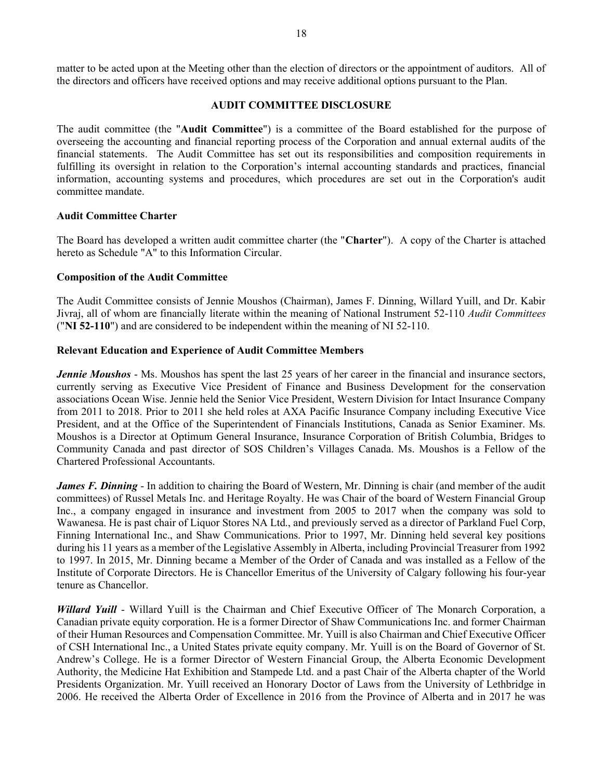matter to be acted upon at the Meeting other than the election of directors or the appointment of auditors. All of the directors and officers have received options and may receive additional options pursuant to the Plan.

### AUDIT COMMITTEE DISCLOSURE

The audit committee (the "Audit Committee") is a committee of the Board established for the purpose of overseeing the accounting and financial reporting process of the Corporation and annual external audits of the financial statements. The Audit Committee has set out its responsibilities and composition requirements in fulfilling its oversight in relation to the Corporation's internal accounting standards and practices, financial information, accounting systems and procedures, which procedures are set out in the Corporation's audit committee mandate.

### Audit Committee Charter

The Board has developed a written audit committee charter (the "Charter"). A copy of the Charter is attached hereto as Schedule "A" to this Information Circular.

### Composition of the Audit Committee

The Audit Committee consists of Jennie Moushos (Chairman), James F. Dinning, Willard Yuill, and Dr. Kabir Jivraj, all of whom are financially literate within the meaning of National Instrument 52-110 *Audit Committees* ("NI 52-110") and are considered to be independent within the meaning of NI 52-110.

### Relevant Education and Experience of Audit Committee Members

**Jennie Moushos** - Ms. Moushos has spent the last 25 years of her career in the financial and insurance sectors, currently serving as Executive Vice President of Finance and Business Development for the conservation associations Ocean Wise. Jennie held the Senior Vice President, Western Division for Intact Insurance Company from 2011 to 2018. Prior to 2011 she held roles at AXA Pacific Insurance Company including Executive Vice President, and at the Office of the Superintendent of Financials Institutions, Canada as Senior Examiner. Ms. Moushos is a Director at Optimum General Insurance, Insurance Corporation of British Columbia, Bridges to Community Canada and past director of SOS Children's Villages Canada. Ms. Moushos is a Fellow of the Chartered Professional Accountants.

James F. Dinning - In addition to chairing the Board of Western, Mr. Dinning is chair (and member of the audit committees) of Russel Metals Inc. and Heritage Royalty. He was Chair of the board of Western Financial Group Inc., a company engaged in insurance and investment from 2005 to 2017 when the company was sold to Wawanesa. He is past chair of Liquor Stores NA Ltd., and previously served as a director of Parkland Fuel Corp, Finning International Inc., and Shaw Communications. Prior to 1997, Mr. Dinning held several key positions during his 11 years as a member of the Legislative Assembly in Alberta, including Provincial Treasurer from 1992 to 1997. In 2015, Mr. Dinning became a Member of the Order of Canada and was installed as a Fellow of the Institute of Corporate Directors. He is Chancellor Emeritus of the University of Calgary following his four-year tenure as Chancellor.

Willard Yuill - Willard Yuill is the Chairman and Chief Executive Officer of The Monarch Corporation, a Canadian private equity corporation. He is a former Director of Shaw Communications Inc. and former Chairman of their Human Resources and Compensation Committee. Mr. Yuill is also Chairman and Chief Executive Officer of CSH International Inc., a United States private equity company. Mr. Yuill is on the Board of Governor of St. Andrew's College. He is a former Director of Western Financial Group, the Alberta Economic Development Authority, the Medicine Hat Exhibition and Stampede Ltd. and a past Chair of the Alberta chapter of the World Presidents Organization. Mr. Yuill received an Honorary Doctor of Laws from the University of Lethbridge in 2006. He received the Alberta Order of Excellence in 2016 from the Province of Alberta and in 2017 he was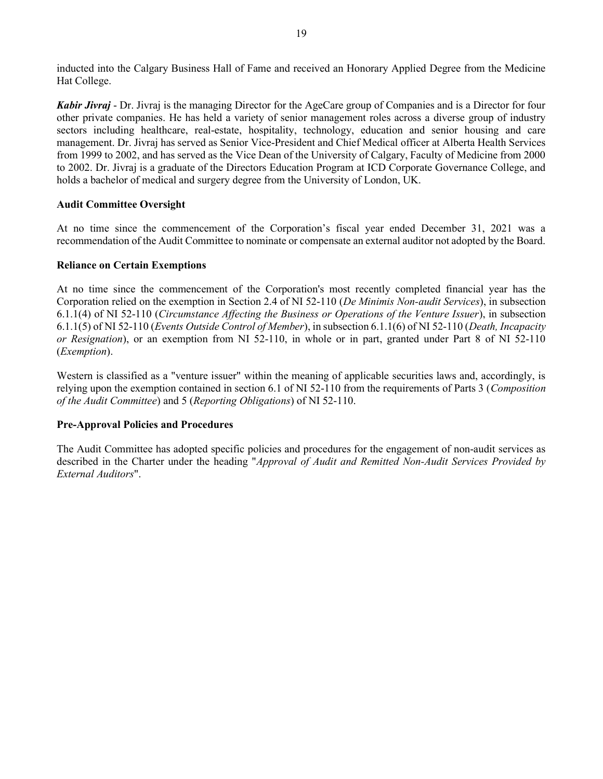inducted into the Calgary Business Hall of Fame and received an Honorary Applied Degree from the Medicine Hat College.

Kabir Jivraj - Dr. Jivraj is the managing Director for the AgeCare group of Companies and is a Director for four other private companies. He has held a variety of senior management roles across a diverse group of industry sectors including healthcare, real-estate, hospitality, technology, education and senior housing and care management. Dr. Jivraj has served as Senior Vice-President and Chief Medical officer at Alberta Health Services from 1999 to 2002, and has served as the Vice Dean of the University of Calgary, Faculty of Medicine from 2000 to 2002. Dr. Jivraj is a graduate of the Directors Education Program at ICD Corporate Governance College, and holds a bachelor of medical and surgery degree from the University of London, UK.

# Audit Committee Oversight

At no time since the commencement of the Corporation's fiscal year ended December 31, 2021 was a recommendation of the Audit Committee to nominate or compensate an external auditor not adopted by the Board.

### Reliance on Certain Exemptions

At no time since the commencement of the Corporation's most recently completed financial year has the Corporation relied on the exemption in Section 2.4 of NI 52-110 (De Minimis Non-audit Services), in subsection 6.1.1(4) of NI 52-110 (Circumstance Affecting the Business or Operations of the Venture Issuer), in subsection 6.1.1(5) of NI 52-110 (Events Outside Control of Member), in subsection 6.1.1(6) of NI 52-110 (Death, Incapacity or Resignation), or an exemption from NI 52-110, in whole or in part, granted under Part 8 of NI 52-110 (Exemption).

Western is classified as a "venture issuer" within the meaning of applicable securities laws and, accordingly, is relying upon the exemption contained in section 6.1 of NI 52-110 from the requirements of Parts 3 (Composition of the Audit Committee) and 5 (Reporting Obligations) of NI 52-110.

# Pre-Approval Policies and Procedures

The Audit Committee has adopted specific policies and procedures for the engagement of non-audit services as described in the Charter under the heading "Approval of Audit and Remitted Non-Audit Services Provided by External Auditors".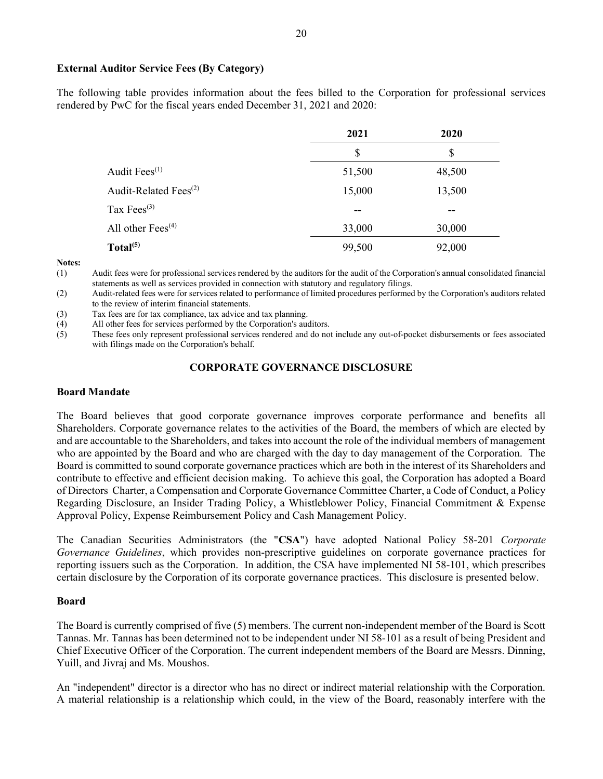### External Auditor Service Fees (By Category)

The following table provides information about the fees billed to the Corporation for professional services rendered by PwC for the fiscal years ended December 31, 2021 and 2020:

|                                   | 2021   | 2020   |
|-----------------------------------|--------|--------|
|                                   | \$     | \$     |
| Audit Fees <sup>(1)</sup>         | 51,500 | 48,500 |
| Audit-Related Fees <sup>(2)</sup> | 15,000 | 13,500 |
| Tax $Fees^{(3)}$                  | --     | --     |
| All other $Fees^{(4)}$            | 33,000 | 30,000 |
| Total <sup>(5)</sup>              | 99,500 | 92,000 |

#### Notes:

(1) Audit fees were for professional services rendered by the auditors for the audit of the Corporation's annual consolidated financial statements as well as services provided in connection with statutory and regulatory filings.

(2) Audit-related fees were for services related to performance of limited procedures performed by the Corporation's auditors related to the review of interim financial statements.

(3) Tax fees are for tax compliance, tax advice and tax planning.

(4) All other fees for services performed by the Corporation's auditors.

(5) These fees only represent professional services rendered and do not include any out-of-pocket disbursements or fees associated with filings made on the Corporation's behalf.

# CORPORATE GOVERNANCE DISCLOSURE

#### Board Mandate

The Board believes that good corporate governance improves corporate performance and benefits all Shareholders. Corporate governance relates to the activities of the Board, the members of which are elected by and are accountable to the Shareholders, and takes into account the role of the individual members of management who are appointed by the Board and who are charged with the day to day management of the Corporation. The Board is committed to sound corporate governance practices which are both in the interest of its Shareholders and contribute to effective and efficient decision making. To achieve this goal, the Corporation has adopted a Board of Directors Charter, a Compensation and Corporate Governance Committee Charter, a Code of Conduct, a Policy Regarding Disclosure, an Insider Trading Policy, a Whistleblower Policy, Financial Commitment & Expense Approval Policy, Expense Reimbursement Policy and Cash Management Policy.

The Canadian Securities Administrators (the "CSA") have adopted National Policy 58-201 Corporate Governance Guidelines, which provides non-prescriptive guidelines on corporate governance practices for reporting issuers such as the Corporation. In addition, the CSA have implemented NI 58-101, which prescribes certain disclosure by the Corporation of its corporate governance practices. This disclosure is presented below.

### Board

The Board is currently comprised of five (5) members. The current non-independent member of the Board is Scott Tannas. Mr. Tannas has been determined not to be independent under NI 58-101 as a result of being President and Chief Executive Officer of the Corporation. The current independent members of the Board are Messrs. Dinning, Yuill, and Jivraj and Ms. Moushos.

An "independent" director is a director who has no direct or indirect material relationship with the Corporation. A material relationship is a relationship which could, in the view of the Board, reasonably interfere with the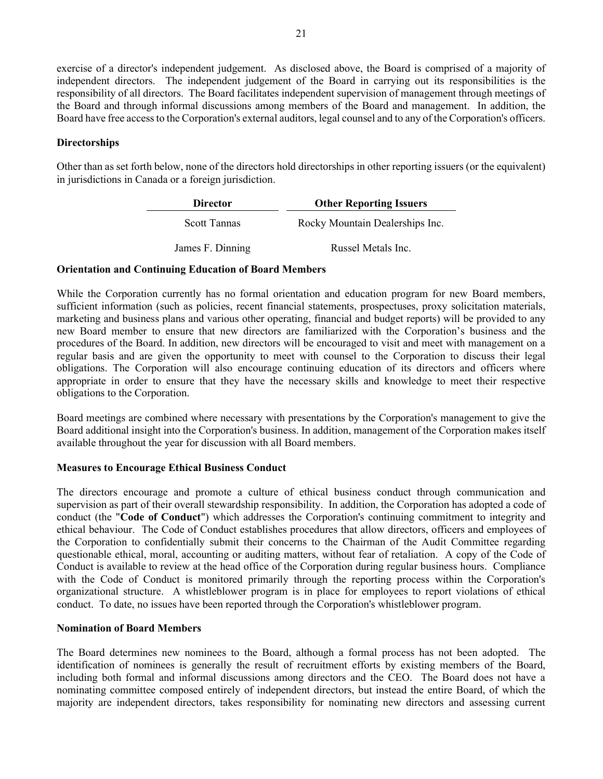exercise of a director's independent judgement. As disclosed above, the Board is comprised of a majority of independent directors. The independent judgement of the Board in carrying out its responsibilities is the responsibility of all directors. The Board facilitates independent supervision of management through meetings of the Board and through informal discussions among members of the Board and management. In addition, the Board have free access to the Corporation's external auditors, legal counsel and to any of the Corporation's officers.

# **Directorships**

Other than as set forth below, none of the directors hold directorships in other reporting issuers (or the equivalent) in jurisdictions in Canada or a foreign jurisdiction.

| <b>Director</b>     | <b>Other Reporting Issuers</b>  |
|---------------------|---------------------------------|
| <b>Scott Tannas</b> | Rocky Mountain Dealerships Inc. |
| James F. Dinning    | Russel Metals Inc.              |

### Orientation and Continuing Education of Board Members

While the Corporation currently has no formal orientation and education program for new Board members, sufficient information (such as policies, recent financial statements, prospectuses, proxy solicitation materials, marketing and business plans and various other operating, financial and budget reports) will be provided to any new Board member to ensure that new directors are familiarized with the Corporation's business and the procedures of the Board. In addition, new directors will be encouraged to visit and meet with management on a regular basis and are given the opportunity to meet with counsel to the Corporation to discuss their legal obligations. The Corporation will also encourage continuing education of its directors and officers where appropriate in order to ensure that they have the necessary skills and knowledge to meet their respective obligations to the Corporation.

Board meetings are combined where necessary with presentations by the Corporation's management to give the Board additional insight into the Corporation's business. In addition, management of the Corporation makes itself available throughout the year for discussion with all Board members.

# Measures to Encourage Ethical Business Conduct

The directors encourage and promote a culture of ethical business conduct through communication and supervision as part of their overall stewardship responsibility. In addition, the Corporation has adopted a code of conduct (the "Code of Conduct") which addresses the Corporation's continuing commitment to integrity and ethical behaviour. The Code of Conduct establishes procedures that allow directors, officers and employees of the Corporation to confidentially submit their concerns to the Chairman of the Audit Committee regarding questionable ethical, moral, accounting or auditing matters, without fear of retaliation. A copy of the Code of Conduct is available to review at the head office of the Corporation during regular business hours. Compliance with the Code of Conduct is monitored primarily through the reporting process within the Corporation's organizational structure. A whistleblower program is in place for employees to report violations of ethical conduct. To date, no issues have been reported through the Corporation's whistleblower program.

### Nomination of Board Members

The Board determines new nominees to the Board, although a formal process has not been adopted. The identification of nominees is generally the result of recruitment efforts by existing members of the Board, including both formal and informal discussions among directors and the CEO. The Board does not have a nominating committee composed entirely of independent directors, but instead the entire Board, of which the majority are independent directors, takes responsibility for nominating new directors and assessing current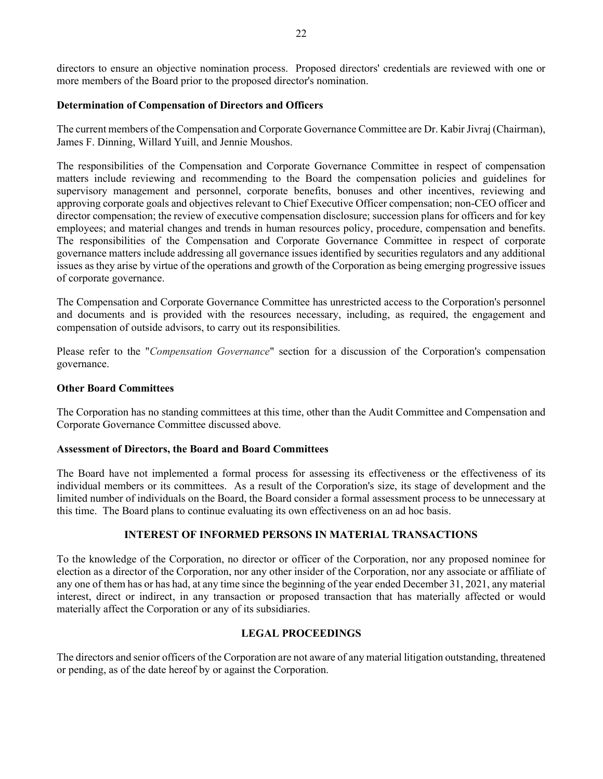directors to ensure an objective nomination process. Proposed directors' credentials are reviewed with one or more members of the Board prior to the proposed director's nomination.

### Determination of Compensation of Directors and Officers

The current members of the Compensation and Corporate Governance Committee are Dr. Kabir Jivraj (Chairman), James F. Dinning, Willard Yuill, and Jennie Moushos.

The responsibilities of the Compensation and Corporate Governance Committee in respect of compensation matters include reviewing and recommending to the Board the compensation policies and guidelines for supervisory management and personnel, corporate benefits, bonuses and other incentives, reviewing and approving corporate goals and objectives relevant to Chief Executive Officer compensation; non-CEO officer and director compensation; the review of executive compensation disclosure; succession plans for officers and for key employees; and material changes and trends in human resources policy, procedure, compensation and benefits. The responsibilities of the Compensation and Corporate Governance Committee in respect of corporate governance matters include addressing all governance issues identified by securities regulators and any additional issues as they arise by virtue of the operations and growth of the Corporation as being emerging progressive issues of corporate governance.

The Compensation and Corporate Governance Committee has unrestricted access to the Corporation's personnel and documents and is provided with the resources necessary, including, as required, the engagement and compensation of outside advisors, to carry out its responsibilities.

Please refer to the "Compensation Governance" section for a discussion of the Corporation's compensation governance.

### Other Board Committees

The Corporation has no standing committees at this time, other than the Audit Committee and Compensation and Corporate Governance Committee discussed above.

### Assessment of Directors, the Board and Board Committees

The Board have not implemented a formal process for assessing its effectiveness or the effectiveness of its individual members or its committees. As a result of the Corporation's size, its stage of development and the limited number of individuals on the Board, the Board consider a formal assessment process to be unnecessary at this time. The Board plans to continue evaluating its own effectiveness on an ad hoc basis.

# INTEREST OF INFORMED PERSONS IN MATERIAL TRANSACTIONS

To the knowledge of the Corporation, no director or officer of the Corporation, nor any proposed nominee for election as a director of the Corporation, nor any other insider of the Corporation, nor any associate or affiliate of any one of them has or has had, at any time since the beginning of the year ended December 31, 2021, any material interest, direct or indirect, in any transaction or proposed transaction that has materially affected or would materially affect the Corporation or any of its subsidiaries.

# LEGAL PROCEEDINGS

The directors and senior officers of the Corporation are not aware of any material litigation outstanding, threatened or pending, as of the date hereof by or against the Corporation.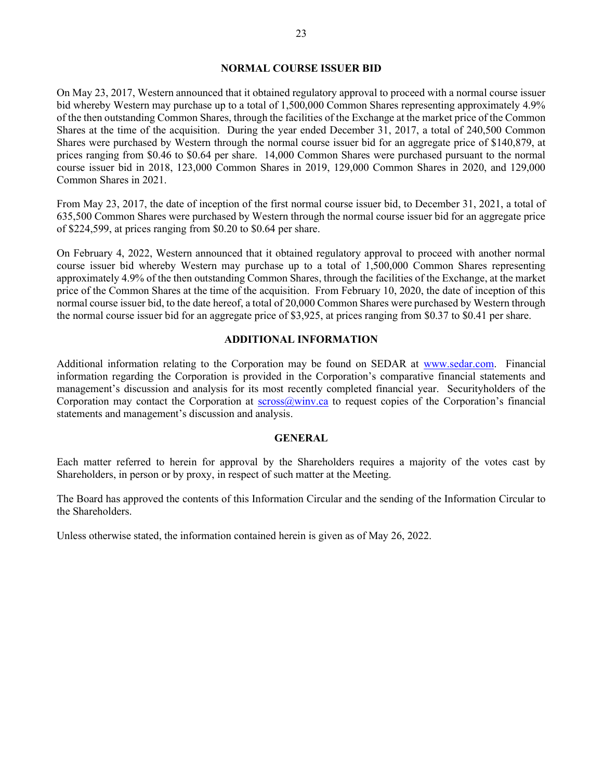### NORMAL COURSE ISSUER BID

On May 23, 2017, Western announced that it obtained regulatory approval to proceed with a normal course issuer bid whereby Western may purchase up to a total of 1,500,000 Common Shares representing approximately 4.9% of the then outstanding Common Shares, through the facilities of the Exchange at the market price of the Common Shares at the time of the acquisition. During the year ended December 31, 2017, a total of 240,500 Common Shares were purchased by Western through the normal course issuer bid for an aggregate price of \$140,879, at prices ranging from \$0.46 to \$0.64 per share. 14,000 Common Shares were purchased pursuant to the normal course issuer bid in 2018, 123,000 Common Shares in 2019, 129,000 Common Shares in 2020, and 129,000 Common Shares in 2021.

From May 23, 2017, the date of inception of the first normal course issuer bid, to December 31, 2021, a total of 635,500 Common Shares were purchased by Western through the normal course issuer bid for an aggregate price of \$224,599, at prices ranging from \$0.20 to \$0.64 per share.

On February 4, 2022, Western announced that it obtained regulatory approval to proceed with another normal course issuer bid whereby Western may purchase up to a total of 1,500,000 Common Shares representing approximately 4.9% of the then outstanding Common Shares, through the facilities of the Exchange, at the market price of the Common Shares at the time of the acquisition. From February 10, 2020, the date of inception of this normal course issuer bid, to the date hereof, a total of 20,000 Common Shares were purchased by Western through the normal course issuer bid for an aggregate price of \$3,925, at prices ranging from \$0.37 to \$0.41 per share.

### ADDITIONAL INFORMATION

Additional information relating to the Corporation may be found on SEDAR at www.sedar.com. Financial information regarding the Corporation is provided in the Corporation's comparative financial statements and management's discussion and analysis for its most recently completed financial year. Securityholders of the Corporation may contact the Corporation at  $s$ cross $@$ winv.ca to request copies of the Corporation's financial statements and management's discussion and analysis.

### GENERAL

Each matter referred to herein for approval by the Shareholders requires a majority of the votes cast by Shareholders, in person or by proxy, in respect of such matter at the Meeting.

The Board has approved the contents of this Information Circular and the sending of the Information Circular to the Shareholders.

Unless otherwise stated, the information contained herein is given as of May 26, 2022.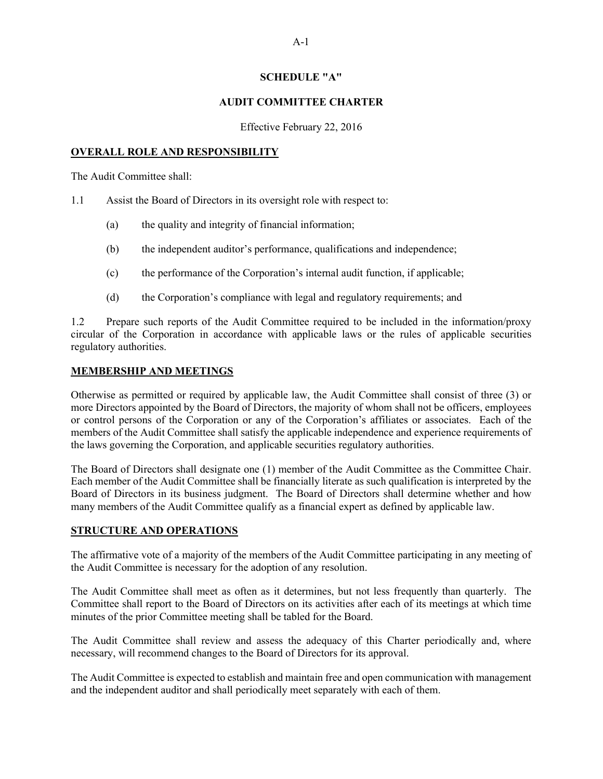### SCHEDULE "A"

### AUDIT COMMITTEE CHARTER

Effective February 22, 2016

### OVERALL ROLE AND RESPONSIBILITY

The Audit Committee shall:

- 1.1 Assist the Board of Directors in its oversight role with respect to:
	- (a) the quality and integrity of financial information;
	- (b) the independent auditor's performance, qualifications and independence;
	- (c) the performance of the Corporation's internal audit function, if applicable;
	- (d) the Corporation's compliance with legal and regulatory requirements; and

1.2 Prepare such reports of the Audit Committee required to be included in the information/proxy circular of the Corporation in accordance with applicable laws or the rules of applicable securities regulatory authorities.

### MEMBERSHIP AND MEETINGS

Otherwise as permitted or required by applicable law, the Audit Committee shall consist of three (3) or more Directors appointed by the Board of Directors, the majority of whom shall not be officers, employees or control persons of the Corporation or any of the Corporation's affiliates or associates. Each of the members of the Audit Committee shall satisfy the applicable independence and experience requirements of the laws governing the Corporation, and applicable securities regulatory authorities.

The Board of Directors shall designate one (1) member of the Audit Committee as the Committee Chair. Each member of the Audit Committee shall be financially literate as such qualification is interpreted by the Board of Directors in its business judgment. The Board of Directors shall determine whether and how many members of the Audit Committee qualify as a financial expert as defined by applicable law.

# STRUCTURE AND OPERATIONS

The affirmative vote of a majority of the members of the Audit Committee participating in any meeting of the Audit Committee is necessary for the adoption of any resolution.

The Audit Committee shall meet as often as it determines, but not less frequently than quarterly. The Committee shall report to the Board of Directors on its activities after each of its meetings at which time minutes of the prior Committee meeting shall be tabled for the Board.

The Audit Committee shall review and assess the adequacy of this Charter periodically and, where necessary, will recommend changes to the Board of Directors for its approval.

The Audit Committee is expected to establish and maintain free and open communication with management and the independent auditor and shall periodically meet separately with each of them.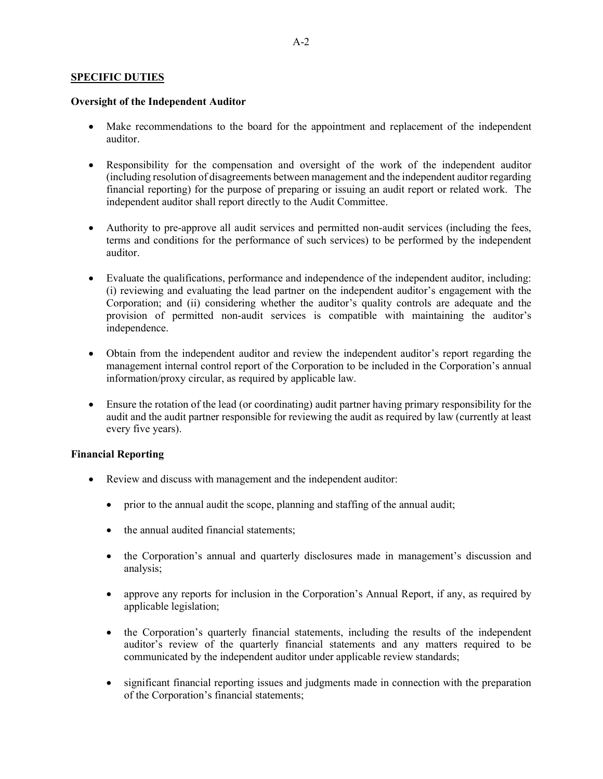### SPECIFIC DUTIES

### Oversight of the Independent Auditor

- Make recommendations to the board for the appointment and replacement of the independent auditor.
- Responsibility for the compensation and oversight of the work of the independent auditor (including resolution of disagreements between management and the independent auditor regarding financial reporting) for the purpose of preparing or issuing an audit report or related work. The independent auditor shall report directly to the Audit Committee.
- Authority to pre-approve all audit services and permitted non-audit services (including the fees, terms and conditions for the performance of such services) to be performed by the independent auditor.
- Evaluate the qualifications, performance and independence of the independent auditor, including: (i) reviewing and evaluating the lead partner on the independent auditor's engagement with the Corporation; and (ii) considering whether the auditor's quality controls are adequate and the provision of permitted non-audit services is compatible with maintaining the auditor's independence.
- Obtain from the independent auditor and review the independent auditor's report regarding the management internal control report of the Corporation to be included in the Corporation's annual information/proxy circular, as required by applicable law.
- Ensure the rotation of the lead (or coordinating) audit partner having primary responsibility for the audit and the audit partner responsible for reviewing the audit as required by law (currently at least every five years).

# Financial Reporting

- Review and discuss with management and the independent auditor:
	- prior to the annual audit the scope, planning and staffing of the annual audit;
	- the annual audited financial statements;
	- the Corporation's annual and quarterly disclosures made in management's discussion and analysis;
	- approve any reports for inclusion in the Corporation's Annual Report, if any, as required by applicable legislation;
	- the Corporation's quarterly financial statements, including the results of the independent auditor's review of the quarterly financial statements and any matters required to be communicated by the independent auditor under applicable review standards;
	- significant financial reporting issues and judgments made in connection with the preparation of the Corporation's financial statements;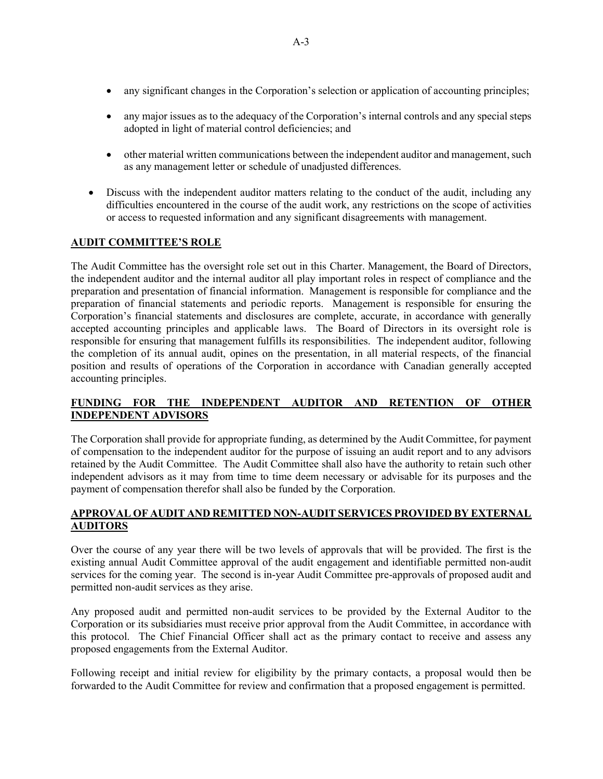- any significant changes in the Corporation's selection or application of accounting principles;
- any major issues as to the adequacy of the Corporation's internal controls and any special steps adopted in light of material control deficiencies; and
- other material written communications between the independent auditor and management, such as any management letter or schedule of unadjusted differences.
- Discuss with the independent auditor matters relating to the conduct of the audit, including any difficulties encountered in the course of the audit work, any restrictions on the scope of activities or access to requested information and any significant disagreements with management.

# AUDIT COMMITTEE'S ROLE

The Audit Committee has the oversight role set out in this Charter. Management, the Board of Directors, the independent auditor and the internal auditor all play important roles in respect of compliance and the preparation and presentation of financial information. Management is responsible for compliance and the preparation of financial statements and periodic reports. Management is responsible for ensuring the Corporation's financial statements and disclosures are complete, accurate, in accordance with generally accepted accounting principles and applicable laws. The Board of Directors in its oversight role is responsible for ensuring that management fulfills its responsibilities. The independent auditor, following the completion of its annual audit, opines on the presentation, in all material respects, of the financial position and results of operations of the Corporation in accordance with Canadian generally accepted accounting principles.

# FUNDING FOR THE INDEPENDENT AUDITOR AND RETENTION OF OTHER INDEPENDENT ADVISORS

The Corporation shall provide for appropriate funding, as determined by the Audit Committee, for payment of compensation to the independent auditor for the purpose of issuing an audit report and to any advisors retained by the Audit Committee. The Audit Committee shall also have the authority to retain such other independent advisors as it may from time to time deem necessary or advisable for its purposes and the payment of compensation therefor shall also be funded by the Corporation.

# APPROVAL OF AUDIT AND REMITTED NON-AUDIT SERVICES PROVIDED BY EXTERNAL AUDITORS

Over the course of any year there will be two levels of approvals that will be provided. The first is the existing annual Audit Committee approval of the audit engagement and identifiable permitted non-audit services for the coming year. The second is in-year Audit Committee pre-approvals of proposed audit and permitted non-audit services as they arise.

Any proposed audit and permitted non-audit services to be provided by the External Auditor to the Corporation or its subsidiaries must receive prior approval from the Audit Committee, in accordance with this protocol. The Chief Financial Officer shall act as the primary contact to receive and assess any proposed engagements from the External Auditor.

Following receipt and initial review for eligibility by the primary contacts, a proposal would then be forwarded to the Audit Committee for review and confirmation that a proposed engagement is permitted.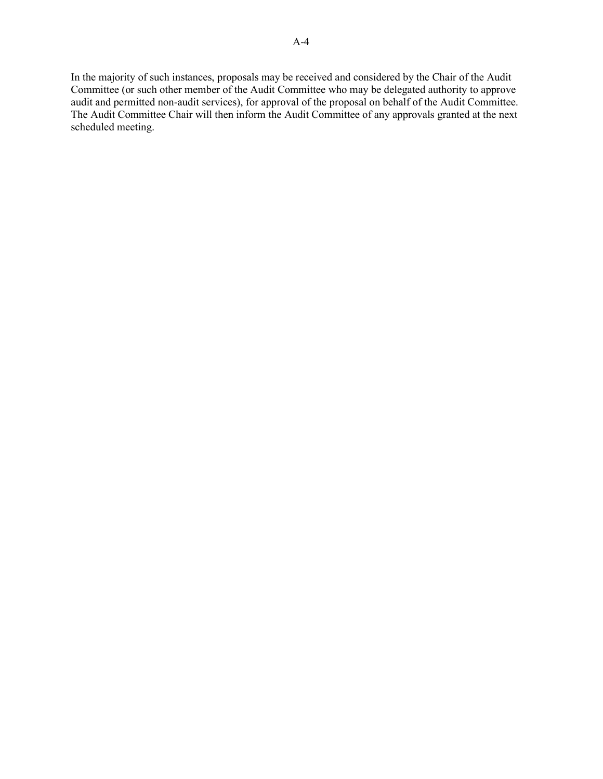In the majority of such instances, proposals may be received and considered by the Chair of the Audit Committee (or such other member of the Audit Committee who may be delegated authority to approve audit and permitted non-audit services), for approval of the proposal on behalf of the Audit Committee. The Audit Committee Chair will then inform the Audit Committee of any approvals granted at the next scheduled meeting.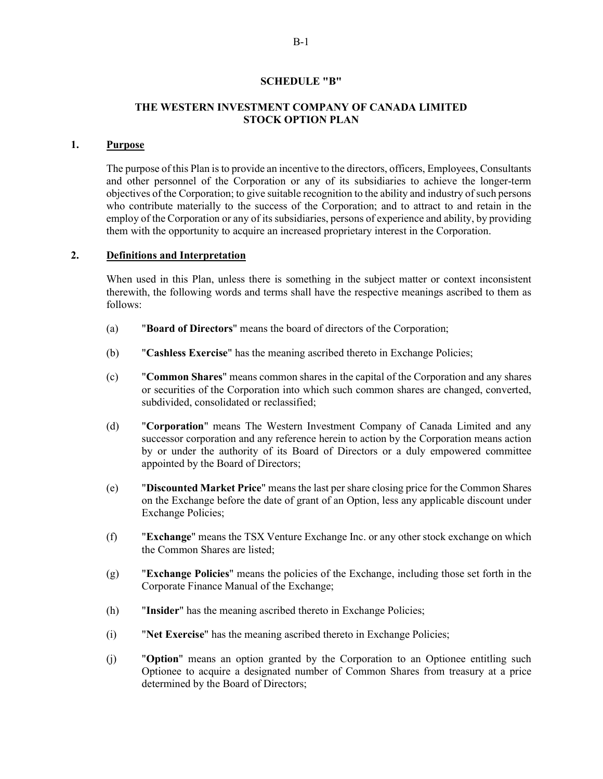### SCHEDULE "B"

### THE WESTERN INVESTMENT COMPANY OF CANADA LIMITED STOCK OPTION PLAN

#### 1. Purpose

The purpose of this Plan is to provide an incentive to the directors, officers, Employees, Consultants and other personnel of the Corporation or any of its subsidiaries to achieve the longer-term objectives of the Corporation; to give suitable recognition to the ability and industry of such persons who contribute materially to the success of the Corporation; and to attract to and retain in the employ of the Corporation or any of its subsidiaries, persons of experience and ability, by providing them with the opportunity to acquire an increased proprietary interest in the Corporation.

### 2. Definitions and Interpretation

When used in this Plan, unless there is something in the subject matter or context inconsistent therewith, the following words and terms shall have the respective meanings ascribed to them as follows:

- (a) "Board of Directors" means the board of directors of the Corporation;
- (b) "Cashless Exercise" has the meaning ascribed thereto in Exchange Policies;
- (c) "Common Shares" means common shares in the capital of the Corporation and any shares or securities of the Corporation into which such common shares are changed, converted, subdivided, consolidated or reclassified;
- (d) "Corporation" means The Western Investment Company of Canada Limited and any successor corporation and any reference herein to action by the Corporation means action by or under the authority of its Board of Directors or a duly empowered committee appointed by the Board of Directors;
- (e) "Discounted Market Price" means the last per share closing price for the Common Shares on the Exchange before the date of grant of an Option, less any applicable discount under Exchange Policies;
- (f) "Exchange" means the TSX Venture Exchange Inc. or any other stock exchange on which the Common Shares are listed;
- (g) "Exchange Policies" means the policies of the Exchange, including those set forth in the Corporate Finance Manual of the Exchange;
- (h) "Insider" has the meaning ascribed thereto in Exchange Policies;
- (i) "Net Exercise" has the meaning ascribed thereto in Exchange Policies;
- (j) "Option" means an option granted by the Corporation to an Optionee entitling such Optionee to acquire a designated number of Common Shares from treasury at a price determined by the Board of Directors;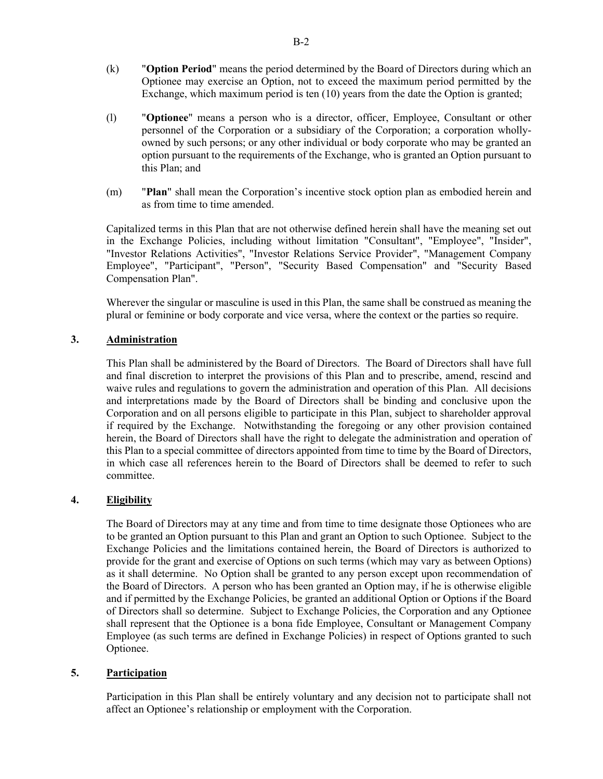- (k) "Option Period" means the period determined by the Board of Directors during which an Optionee may exercise an Option, not to exceed the maximum period permitted by the Exchange, which maximum period is ten (10) years from the date the Option is granted;
- (l) "Optionee" means a person who is a director, officer, Employee, Consultant or other personnel of the Corporation or a subsidiary of the Corporation; a corporation whollyowned by such persons; or any other individual or body corporate who may be granted an option pursuant to the requirements of the Exchange, who is granted an Option pursuant to this Plan; and
- (m) "Plan" shall mean the Corporation's incentive stock option plan as embodied herein and as from time to time amended.

Capitalized terms in this Plan that are not otherwise defined herein shall have the meaning set out in the Exchange Policies, including without limitation "Consultant", "Employee", "Insider", "Investor Relations Activities", "Investor Relations Service Provider", "Management Company Employee", "Participant", "Person", "Security Based Compensation" and "Security Based Compensation Plan".

Wherever the singular or masculine is used in this Plan, the same shall be construed as meaning the plural or feminine or body corporate and vice versa, where the context or the parties so require.

# 3. Administration

This Plan shall be administered by the Board of Directors. The Board of Directors shall have full and final discretion to interpret the provisions of this Plan and to prescribe, amend, rescind and waive rules and regulations to govern the administration and operation of this Plan. All decisions and interpretations made by the Board of Directors shall be binding and conclusive upon the Corporation and on all persons eligible to participate in this Plan, subject to shareholder approval if required by the Exchange. Notwithstanding the foregoing or any other provision contained herein, the Board of Directors shall have the right to delegate the administration and operation of this Plan to a special committee of directors appointed from time to time by the Board of Directors, in which case all references herein to the Board of Directors shall be deemed to refer to such committee.

# 4. Eligibility

The Board of Directors may at any time and from time to time designate those Optionees who are to be granted an Option pursuant to this Plan and grant an Option to such Optionee. Subject to the Exchange Policies and the limitations contained herein, the Board of Directors is authorized to provide for the grant and exercise of Options on such terms (which may vary as between Options) as it shall determine. No Option shall be granted to any person except upon recommendation of the Board of Directors. A person who has been granted an Option may, if he is otherwise eligible and if permitted by the Exchange Policies, be granted an additional Option or Options if the Board of Directors shall so determine. Subject to Exchange Policies, the Corporation and any Optionee shall represent that the Optionee is a bona fide Employee, Consultant or Management Company Employee (as such terms are defined in Exchange Policies) in respect of Options granted to such Optionee.

### 5. Participation

Participation in this Plan shall be entirely voluntary and any decision not to participate shall not affect an Optionee's relationship or employment with the Corporation.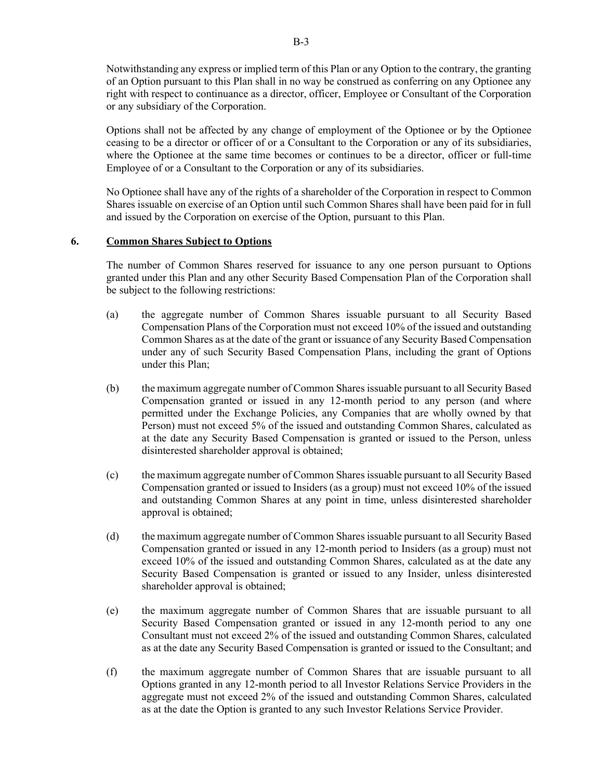Notwithstanding any express or implied term of this Plan or any Option to the contrary, the granting of an Option pursuant to this Plan shall in no way be construed as conferring on any Optionee any right with respect to continuance as a director, officer, Employee or Consultant of the Corporation or any subsidiary of the Corporation.

Options shall not be affected by any change of employment of the Optionee or by the Optionee ceasing to be a director or officer of or a Consultant to the Corporation or any of its subsidiaries, where the Optionee at the same time becomes or continues to be a director, officer or full-time Employee of or a Consultant to the Corporation or any of its subsidiaries.

No Optionee shall have any of the rights of a shareholder of the Corporation in respect to Common Shares issuable on exercise of an Option until such Common Shares shall have been paid for in full and issued by the Corporation on exercise of the Option, pursuant to this Plan.

### 6. Common Shares Subject to Options

The number of Common Shares reserved for issuance to any one person pursuant to Options granted under this Plan and any other Security Based Compensation Plan of the Corporation shall be subject to the following restrictions:

- (a) the aggregate number of Common Shares issuable pursuant to all Security Based Compensation Plans of the Corporation must not exceed 10% of the issued and outstanding Common Shares as at the date of the grant or issuance of any Security Based Compensation under any of such Security Based Compensation Plans, including the grant of Options under this Plan;
- (b) the maximum aggregate number of Common Shares issuable pursuant to all Security Based Compensation granted or issued in any 12-month period to any person (and where permitted under the Exchange Policies, any Companies that are wholly owned by that Person) must not exceed 5% of the issued and outstanding Common Shares, calculated as at the date any Security Based Compensation is granted or issued to the Person, unless disinterested shareholder approval is obtained;
- (c) the maximum aggregate number of Common Shares issuable pursuant to all Security Based Compensation granted or issued to Insiders (as a group) must not exceed 10% of the issued and outstanding Common Shares at any point in time, unless disinterested shareholder approval is obtained;
- (d) the maximum aggregate number of Common Shares issuable pursuant to all Security Based Compensation granted or issued in any 12-month period to Insiders (as a group) must not exceed 10% of the issued and outstanding Common Shares, calculated as at the date any Security Based Compensation is granted or issued to any Insider, unless disinterested shareholder approval is obtained;
- (e) the maximum aggregate number of Common Shares that are issuable pursuant to all Security Based Compensation granted or issued in any 12-month period to any one Consultant must not exceed 2% of the issued and outstanding Common Shares, calculated as at the date any Security Based Compensation is granted or issued to the Consultant; and
- (f) the maximum aggregate number of Common Shares that are issuable pursuant to all Options granted in any 12-month period to all Investor Relations Service Providers in the aggregate must not exceed 2% of the issued and outstanding Common Shares, calculated as at the date the Option is granted to any such Investor Relations Service Provider.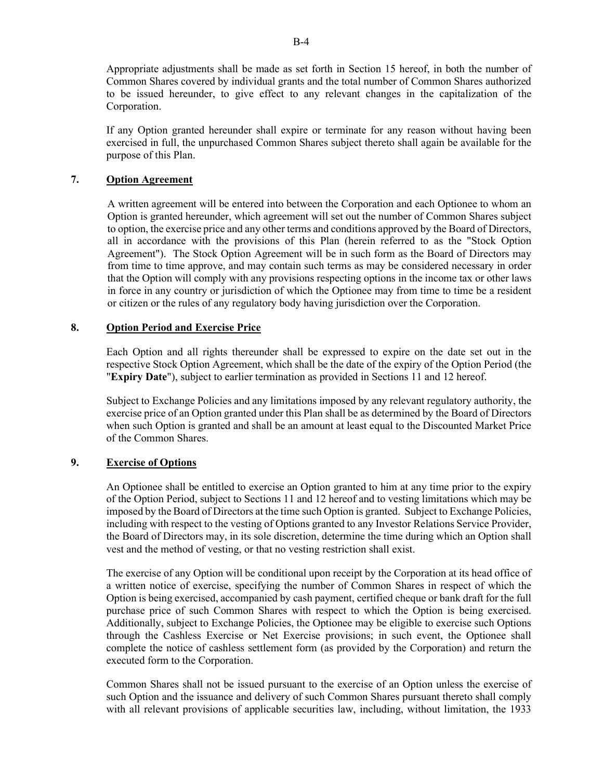Appropriate adjustments shall be made as set forth in Section 15 hereof, in both the number of Common Shares covered by individual grants and the total number of Common Shares authorized to be issued hereunder, to give effect to any relevant changes in the capitalization of the Corporation.

If any Option granted hereunder shall expire or terminate for any reason without having been exercised in full, the unpurchased Common Shares subject thereto shall again be available for the purpose of this Plan.

# 7. Option Agreement

A written agreement will be entered into between the Corporation and each Optionee to whom an Option is granted hereunder, which agreement will set out the number of Common Shares subject to option, the exercise price and any other terms and conditions approved by the Board of Directors, all in accordance with the provisions of this Plan (herein referred to as the "Stock Option Agreement"). The Stock Option Agreement will be in such form as the Board of Directors may from time to time approve, and may contain such terms as may be considered necessary in order that the Option will comply with any provisions respecting options in the income tax or other laws in force in any country or jurisdiction of which the Optionee may from time to time be a resident or citizen or the rules of any regulatory body having jurisdiction over the Corporation.

# 8. Option Period and Exercise Price

Each Option and all rights thereunder shall be expressed to expire on the date set out in the respective Stock Option Agreement, which shall be the date of the expiry of the Option Period (the "Expiry Date"), subject to earlier termination as provided in Sections 11 and 12 hereof.

Subject to Exchange Policies and any limitations imposed by any relevant regulatory authority, the exercise price of an Option granted under this Plan shall be as determined by the Board of Directors when such Option is granted and shall be an amount at least equal to the Discounted Market Price of the Common Shares.

# 9. Exercise of Options

An Optionee shall be entitled to exercise an Option granted to him at any time prior to the expiry of the Option Period, subject to Sections 11 and 12 hereof and to vesting limitations which may be imposed by the Board of Directors at the time such Option is granted. Subject to Exchange Policies, including with respect to the vesting of Options granted to any Investor Relations Service Provider, the Board of Directors may, in its sole discretion, determine the time during which an Option shall vest and the method of vesting, or that no vesting restriction shall exist.

The exercise of any Option will be conditional upon receipt by the Corporation at its head office of a written notice of exercise, specifying the number of Common Shares in respect of which the Option is being exercised, accompanied by cash payment, certified cheque or bank draft for the full purchase price of such Common Shares with respect to which the Option is being exercised. Additionally, subject to Exchange Policies, the Optionee may be eligible to exercise such Options through the Cashless Exercise or Net Exercise provisions; in such event, the Optionee shall complete the notice of cashless settlement form (as provided by the Corporation) and return the executed form to the Corporation.

Common Shares shall not be issued pursuant to the exercise of an Option unless the exercise of such Option and the issuance and delivery of such Common Shares pursuant thereto shall comply with all relevant provisions of applicable securities law, including, without limitation, the 1933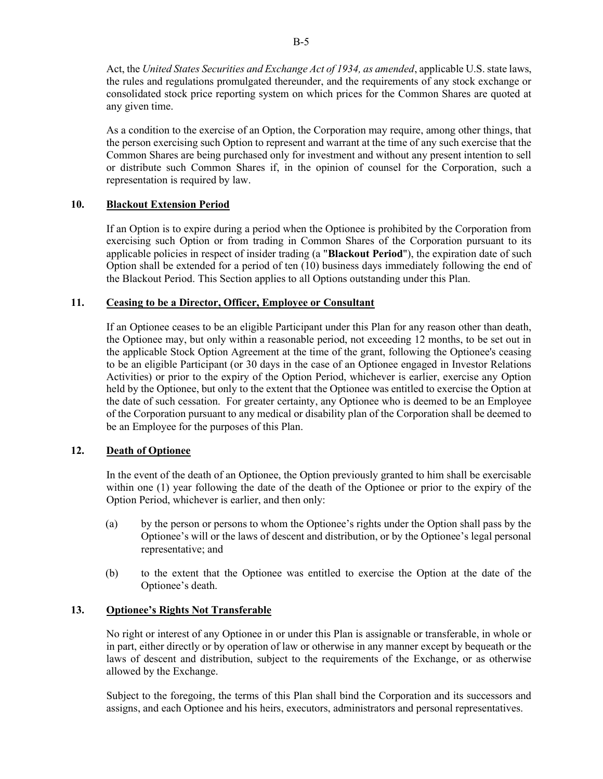Act, the United States Securities and Exchange Act of 1934, as amended, applicable U.S. state laws, the rules and regulations promulgated thereunder, and the requirements of any stock exchange or consolidated stock price reporting system on which prices for the Common Shares are quoted at any given time.

As a condition to the exercise of an Option, the Corporation may require, among other things, that the person exercising such Option to represent and warrant at the time of any such exercise that the Common Shares are being purchased only for investment and without any present intention to sell or distribute such Common Shares if, in the opinion of counsel for the Corporation, such a representation is required by law.

# 10. Blackout Extension Period

If an Option is to expire during a period when the Optionee is prohibited by the Corporation from exercising such Option or from trading in Common Shares of the Corporation pursuant to its applicable policies in respect of insider trading (a "Blackout Period"), the expiration date of such Option shall be extended for a period of ten (10) business days immediately following the end of the Blackout Period. This Section applies to all Options outstanding under this Plan.

# 11. Ceasing to be a Director, Officer, Employee or Consultant

If an Optionee ceases to be an eligible Participant under this Plan for any reason other than death, the Optionee may, but only within a reasonable period, not exceeding 12 months, to be set out in the applicable Stock Option Agreement at the time of the grant, following the Optionee's ceasing to be an eligible Participant (or 30 days in the case of an Optionee engaged in Investor Relations Activities) or prior to the expiry of the Option Period, whichever is earlier, exercise any Option held by the Optionee, but only to the extent that the Optionee was entitled to exercise the Option at the date of such cessation. For greater certainty, any Optionee who is deemed to be an Employee of the Corporation pursuant to any medical or disability plan of the Corporation shall be deemed to be an Employee for the purposes of this Plan.

# 12. Death of Optionee

In the event of the death of an Optionee, the Option previously granted to him shall be exercisable within one (1) year following the date of the death of the Optionee or prior to the expiry of the Option Period, whichever is earlier, and then only:

- (a) by the person or persons to whom the Optionee's rights under the Option shall pass by the Optionee's will or the laws of descent and distribution, or by the Optionee's legal personal representative; and
- (b) to the extent that the Optionee was entitled to exercise the Option at the date of the Optionee's death.

# 13. Optionee's Rights Not Transferable

No right or interest of any Optionee in or under this Plan is assignable or transferable, in whole or in part, either directly or by operation of law or otherwise in any manner except by bequeath or the laws of descent and distribution, subject to the requirements of the Exchange, or as otherwise allowed by the Exchange.

Subject to the foregoing, the terms of this Plan shall bind the Corporation and its successors and assigns, and each Optionee and his heirs, executors, administrators and personal representatives.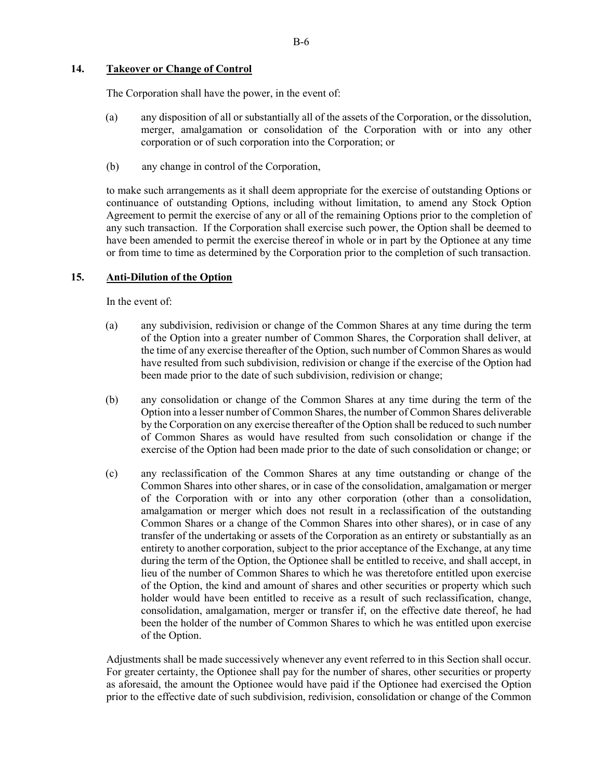# 14. Takeover or Change of Control

The Corporation shall have the power, in the event of:

- (a) any disposition of all or substantially all of the assets of the Corporation, or the dissolution, merger, amalgamation or consolidation of the Corporation with or into any other corporation or of such corporation into the Corporation; or
- (b) any change in control of the Corporation,

to make such arrangements as it shall deem appropriate for the exercise of outstanding Options or continuance of outstanding Options, including without limitation, to amend any Stock Option Agreement to permit the exercise of any or all of the remaining Options prior to the completion of any such transaction. If the Corporation shall exercise such power, the Option shall be deemed to have been amended to permit the exercise thereof in whole or in part by the Optionee at any time or from time to time as determined by the Corporation prior to the completion of such transaction.

# 15. Anti-Dilution of the Option

In the event of:

- (a) any subdivision, redivision or change of the Common Shares at any time during the term of the Option into a greater number of Common Shares, the Corporation shall deliver, at the time of any exercise thereafter of the Option, such number of Common Shares as would have resulted from such subdivision, redivision or change if the exercise of the Option had been made prior to the date of such subdivision, redivision or change;
- (b) any consolidation or change of the Common Shares at any time during the term of the Option into a lesser number of Common Shares, the number of Common Shares deliverable by the Corporation on any exercise thereafter of the Option shall be reduced to such number of Common Shares as would have resulted from such consolidation or change if the exercise of the Option had been made prior to the date of such consolidation or change; or
- (c) any reclassification of the Common Shares at any time outstanding or change of the Common Shares into other shares, or in case of the consolidation, amalgamation or merger of the Corporation with or into any other corporation (other than a consolidation, amalgamation or merger which does not result in a reclassification of the outstanding Common Shares or a change of the Common Shares into other shares), or in case of any transfer of the undertaking or assets of the Corporation as an entirety or substantially as an entirety to another corporation, subject to the prior acceptance of the Exchange, at any time during the term of the Option, the Optionee shall be entitled to receive, and shall accept, in lieu of the number of Common Shares to which he was theretofore entitled upon exercise of the Option, the kind and amount of shares and other securities or property which such holder would have been entitled to receive as a result of such reclassification, change, consolidation, amalgamation, merger or transfer if, on the effective date thereof, he had been the holder of the number of Common Shares to which he was entitled upon exercise of the Option.

Adjustments shall be made successively whenever any event referred to in this Section shall occur. For greater certainty, the Optionee shall pay for the number of shares, other securities or property as aforesaid, the amount the Optionee would have paid if the Optionee had exercised the Option prior to the effective date of such subdivision, redivision, consolidation or change of the Common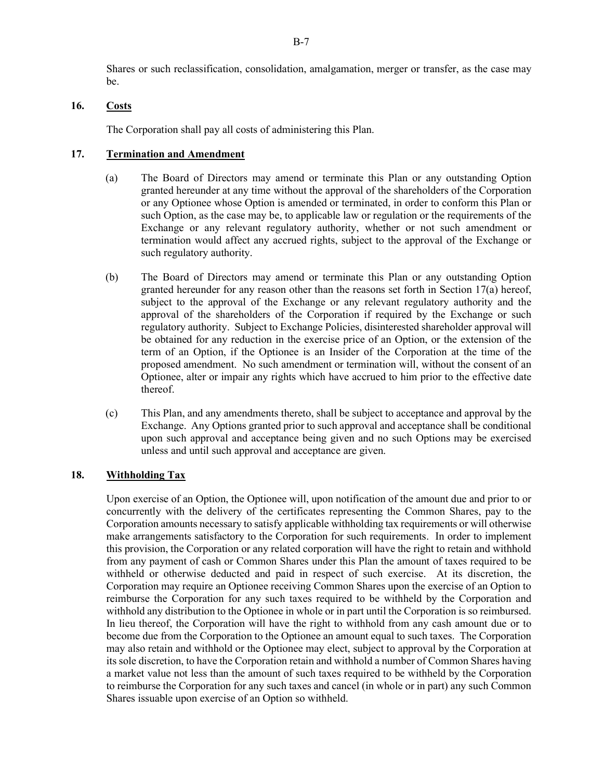Shares or such reclassification, consolidation, amalgamation, merger or transfer, as the case may be.

# 16. Costs

The Corporation shall pay all costs of administering this Plan.

# 17. Termination and Amendment

- (a) The Board of Directors may amend or terminate this Plan or any outstanding Option granted hereunder at any time without the approval of the shareholders of the Corporation or any Optionee whose Option is amended or terminated, in order to conform this Plan or such Option, as the case may be, to applicable law or regulation or the requirements of the Exchange or any relevant regulatory authority, whether or not such amendment or termination would affect any accrued rights, subject to the approval of the Exchange or such regulatory authority.
- (b) The Board of Directors may amend or terminate this Plan or any outstanding Option granted hereunder for any reason other than the reasons set forth in Section 17(a) hereof, subject to the approval of the Exchange or any relevant regulatory authority and the approval of the shareholders of the Corporation if required by the Exchange or such regulatory authority. Subject to Exchange Policies, disinterested shareholder approval will be obtained for any reduction in the exercise price of an Option, or the extension of the term of an Option, if the Optionee is an Insider of the Corporation at the time of the proposed amendment. No such amendment or termination will, without the consent of an Optionee, alter or impair any rights which have accrued to him prior to the effective date thereof.
- (c) This Plan, and any amendments thereto, shall be subject to acceptance and approval by the Exchange. Any Options granted prior to such approval and acceptance shall be conditional upon such approval and acceptance being given and no such Options may be exercised unless and until such approval and acceptance are given.

### 18. Withholding Tax

Upon exercise of an Option, the Optionee will, upon notification of the amount due and prior to or concurrently with the delivery of the certificates representing the Common Shares, pay to the Corporation amounts necessary to satisfy applicable withholding tax requirements or will otherwise make arrangements satisfactory to the Corporation for such requirements. In order to implement this provision, the Corporation or any related corporation will have the right to retain and withhold from any payment of cash or Common Shares under this Plan the amount of taxes required to be withheld or otherwise deducted and paid in respect of such exercise. At its discretion, the Corporation may require an Optionee receiving Common Shares upon the exercise of an Option to reimburse the Corporation for any such taxes required to be withheld by the Corporation and withhold any distribution to the Optionee in whole or in part until the Corporation is so reimbursed. In lieu thereof, the Corporation will have the right to withhold from any cash amount due or to become due from the Corporation to the Optionee an amount equal to such taxes. The Corporation may also retain and withhold or the Optionee may elect, subject to approval by the Corporation at its sole discretion, to have the Corporation retain and withhold a number of Common Shares having a market value not less than the amount of such taxes required to be withheld by the Corporation to reimburse the Corporation for any such taxes and cancel (in whole or in part) any such Common Shares issuable upon exercise of an Option so withheld.